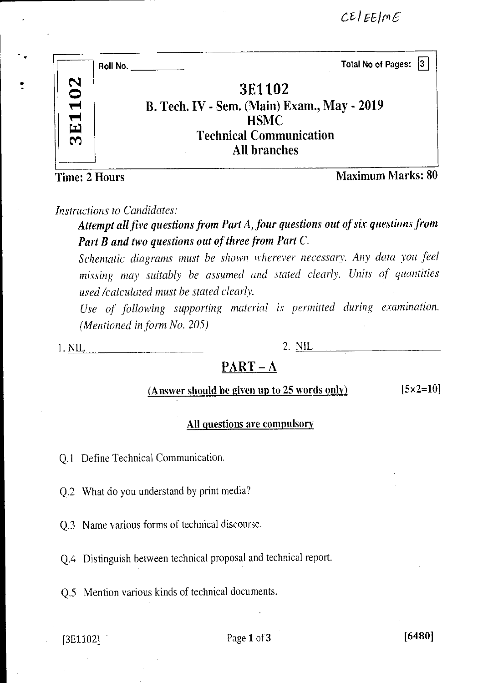|         | <b>Total No of Pages:</b><br>13<br>Roll No.                |
|---------|------------------------------------------------------------|
| N<br>10 | 3E1102                                                     |
| E1      | B. Tech. IV - Sem. (Main) Exam., May - 2019<br><b>HSMC</b> |
| m       | <b>Technical Communication</b><br><b>All branches</b>      |
|         | oо.                                                        |

Time: 2 Hours Maximum Marks: 80

*Instructions to Candidates:* 

*Attempt all five questions from Part A, four questions out of six questions from Part B and two questions out of three from Part C.* 

*Schematic diagrams must be shown wherever necessary. Any data you feel missing may suitably be assumed and stated clearly. Units of quantities used /calculated must be stated clearly.* 

*Use of following supporting material is permitted during examination. (Mentioned in form No. 205)* 

1. NIL 2. NIL

# PART — A

(Answer should be given up to  $25$  words only) [5 $\times$ 2=10]

#### All questions are compulsory

- Q.1 Define Technical Communication.
- Q.2 What do you understand by print media?
- Q.3 Name various forms of technical discourse.
- Q.4 Distinguish between technical proposal and technical report.
- Q.5 Mention various kinds of technical documents.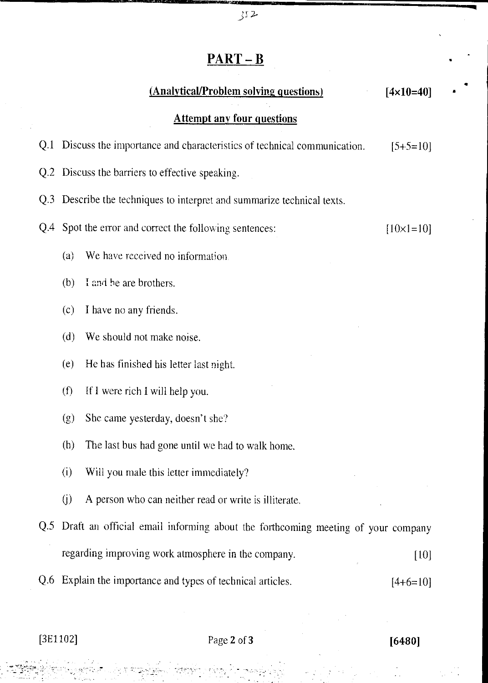# PART - B

 $312$ 

|                | (Analytical/Problem solving questions)                                              | $[4 \times 10 = 40]$ |  |
|----------------|-------------------------------------------------------------------------------------|----------------------|--|
|                | <b>Attempt any four questions</b>                                                   |                      |  |
|                | Q.1 Discuss the importance and characteristics of technical communication.          | $[5+5=10]$           |  |
|                | Q.2 Discuss the barriers to effective speaking.                                     |                      |  |
|                | Q.3 Describe the techniques to interpret and summarize technical texts.             |                      |  |
|                | Q.4 Spot the error and correct the following sentences:                             | $[10 \times 1 = 10]$ |  |
| (a)            | We have received no information.                                                    |                      |  |
| (b)            | I and he are brothers.                                                              |                      |  |
| (c)            | I have no any friends.                                                              |                      |  |
| (d)            | We should not make noise.                                                           |                      |  |
| (e)            | He has finished his letter last night.                                              |                      |  |
| (f)            | If I were rich I will help you.                                                     |                      |  |
| (g)            | She came yesterday, doesn't she?                                                    |                      |  |
| (h)            | The last bus had gone until we had to walk home.                                    |                      |  |
| (i)            | Will you male this letter immediately?                                              |                      |  |
| $\overline{U}$ | A person who can neither read or write is illiterate.                               |                      |  |
|                | Q.5 Draft an official email informing about the forthcoming meeting of your company |                      |  |
|                | regarding improving work atmosphere in the company.                                 | $[10]$               |  |
|                | Q.6 Explain the importance and types of technical articles.                         | $[4+6=10]$           |  |
|                |                                                                                     |                      |  |

[3E1102] Page 2 of 3 [6480]

•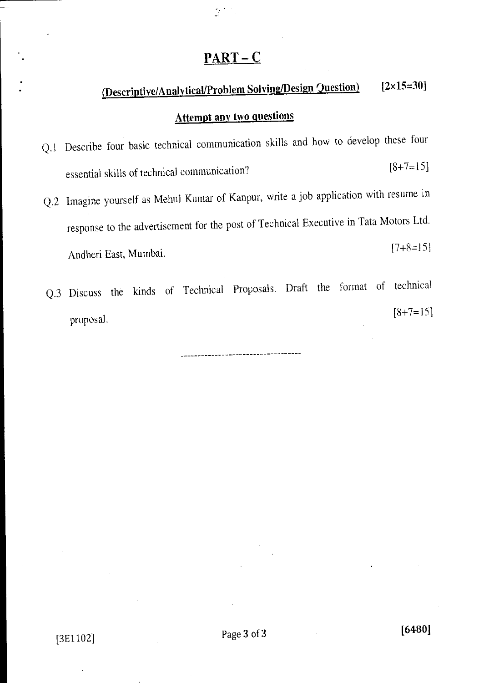# PART-C

 $\mathbb{Z}^{t_1 \cdots t_{n-1}}$ 

# (Descriptive/Analytical/Problem Solving/Design Question) [2x15=30]

# Attempt any two questions

- Q.I Describe four basic technical communication skills and how to develop these four essential skills of technical communication? [8+7=15]
- Q.2 Imagine yourself as Mehul Kumar of Kanpur, write a job application with resume in response to the advertisement for the post of Technical Executive in Tata Motors Ltd. Andheri East, Mumbai. [7+8=15]
- Q.3 Discuss the kinds of Technical Proposals. Draft the format of technical proposal.  $[8+7=15]$

\_\_\_\_\_\_\_\_\_\_\_\_\_\_\_\_\_\_\_\_\_\_\_\_\_\_\_\_\_\_\_\_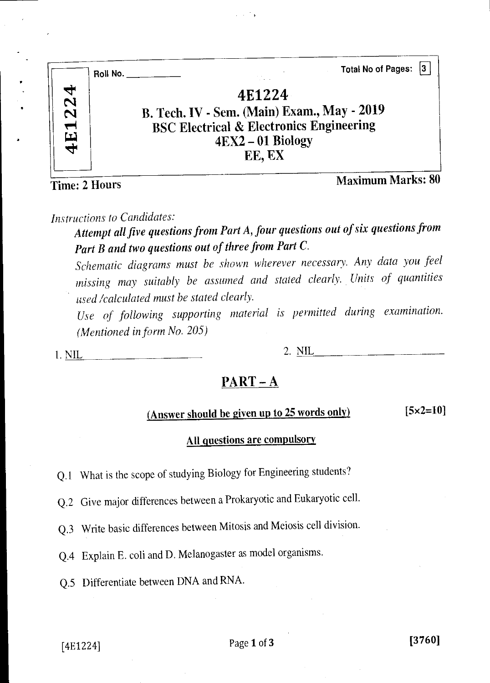

*Instructions to Candidates:* 

*Attempt all five questions from Part A, four questions out of six questions from Part B and two questions out of three from Part C.* 

*Schematic diagrams must be shown wherever necessary. Any data you feel missing may suitably be assumed and stated clearly. Units of quantities used /calculated must be stated clearly.* 

*Use of following supporting material is permitted during examination. (Mentioned in form No. 205)* 

*1.* NIL 2. NIL

# $PART - A$

#### (Answer should be given up to 25 words only)  $[5 \times 2 = 10]$

#### All questions are compulsory

- Q.1 What is the scope of studying Biology for Engineering students?
- Q.2 Give major differences between a Prokaryotic and Eukaryotic cell.
- Q.3 Write basic differences between Mitosis and Meiosis cell division.
- Q.4 Explain E. coli and D. Melanogaster as model organisms.
- Q.5 Differentiate between DNA and RNA.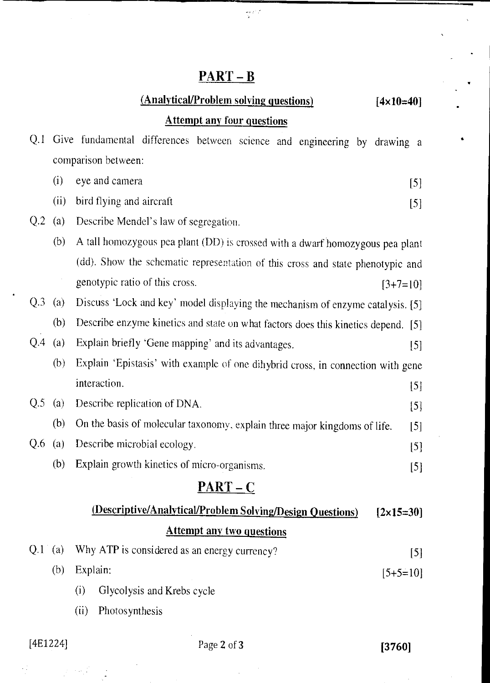# PART - B

# (Analytical/Problem solving questions) [4x10=40]

 $\frac{\partial \mathcal{F}}{\partial t} \mathcal{L}^{(0)} \mathcal{L}^{(0)}$ 

# Attempt any four questions

| Q.I               |      | Give fundamental differences between science and engineering by drawing a          |
|-------------------|------|------------------------------------------------------------------------------------|
|                   |      | comparison between:                                                                |
|                   | (i)  | eye and camera<br>$[5]$                                                            |
|                   | (ii) | bird flying and aircraft<br>$[5]$                                                  |
| Q.2               | (a)  | Describe Mendel's law of segregation.                                              |
|                   | (b)  | A tall homozygous pea plant (DD) is crossed with a dwarf homozygous pea plant      |
|                   |      | (dd). Show the schematic representation of this cross and state phenotypic and     |
|                   |      | genotypic ratio of this cross.<br>$[3+7=10]$                                       |
| Q.3               | (a)  | Discuss 'Lock and key' model displaying the mechanism of enzyme catalysis. [5]     |
|                   | (b)  | Describe enzyme kinetics and state on what factors does this kinetics depend. [5]  |
| Q.4               | (a)  | Explain briefly 'Gene mapping' and its advantages.<br>$[5]$                        |
|                   | (b)  | Explain 'Epistasis' with example of one dihybrid cross, in connection with gene    |
|                   |      | interaction.<br>[5]                                                                |
| Q.5               | (a)  | Describe replication of DNA.<br>$[5]$                                              |
|                   | (b)  | On the basis of molecular taxonomy, explain three major kingdoms of life.<br>$[5]$ |
| Q.6               | (a)  | Describe microbial ecology.<br>[5]                                                 |
|                   | (b)  | Explain growth kinetics of micro-organisms.<br>$[5]$                               |
|                   |      | $PART-C$                                                                           |
|                   |      | (Descriptive/Analytical/Problem Solving/Design Questions)<br>$[2 \times 15 = 30]$  |
|                   |      | <b>Attempt any two questions</b>                                                   |
| $Q.1^{\circ}$ (a) |      | Why ATP is considered as an energy currency?<br>$[5]$                              |
|                   | (b)  | Explain:<br>$[5+5=10]$                                                             |
|                   |      | Glycolysis and Krebs cycle<br>(i)                                                  |
|                   |      | Photosynthesis<br>(ii)                                                             |

 $\omega_{\rm{1}}^{-1}$ 

# [4E1224] Page 2 of 3 [3760]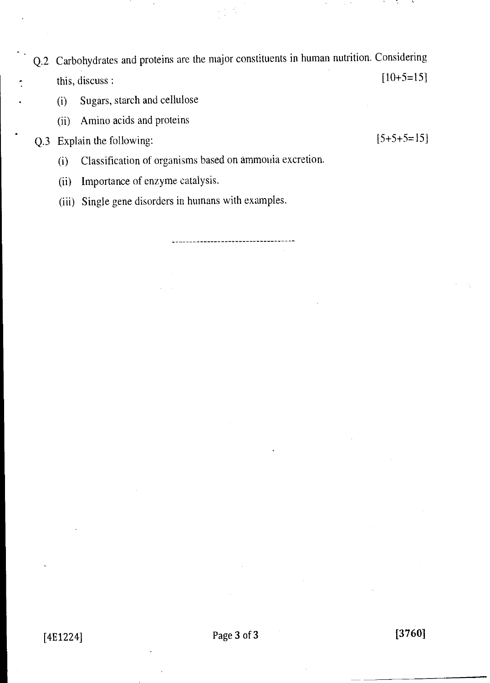Q.2 Carbohydrates and proteins are the major constituents in human nutrition. Considering this, discuss :  $[10+5=15]$ 

-------------------------

- (i) Sugars, starch and cellulose
- (ii) Amino acids and proteins
- Q.3 Explain the following:
	- (i) Classification of organisms based on ammonia excretion.
	- (ii) Importance of enzyme catalysis.
	- (iii) Single gene disorders in humans with examples.

 $[5+5+5=15]$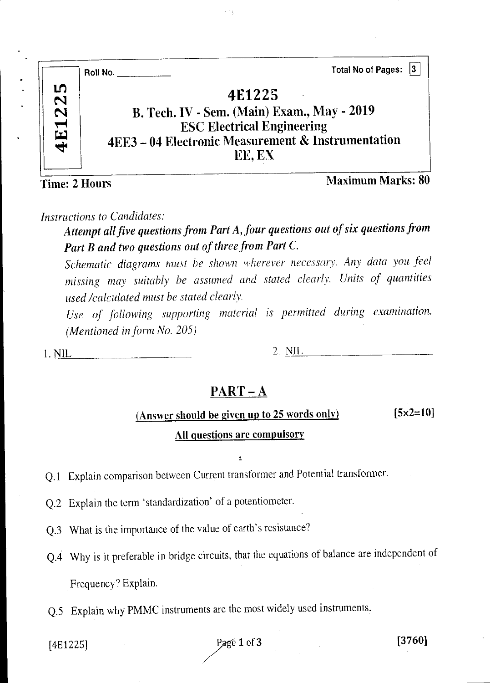|               | 13.<br><b>Total No of Pages:</b><br>Roll No.                                                                                                               |
|---------------|------------------------------------------------------------------------------------------------------------------------------------------------------------|
| 4E1225        | 4E1225<br>B. Tech. IV - Sem. (Main) Exam., May - 2019<br><b>ESC Electrical Engineering</b><br>4EE3 - 04 Electronic Measurement & Instrumentation<br>EE, EX |
| Time: 2 Hours | <b>Maximum Marks: 80</b>                                                                                                                                   |

*Instructions to Candidates:* 

*Attempt all five questions from Part A, four questions out of six questions from Part B and two questions out of three from Part C.* 

*Schematic diagrams must be shown wherever necessary. Any data you feel missing may suitably be assumed and stated clearly. Units of quantities used /calculated must be stated clearly.* 

*Use of following supporting material is permitted during examination. (Mentioned in form No. 205)* 

*1.* NIL 2. NIL

## PART — A

(Answer should be given up to 25 words only)  $[5 \times 2 = 10]$ 

#### All questions are compulsory

Q.1 Explain comparison between Current transformer and Potential transformer.

Q.2 Explain the term 'standardization' of a potentiometer.

Q.3 What is the importance of the value of earth's resistance?

Q.4 Why is it preferable in bridge circuits, that the equations of balance are independent of Frequency? Explain.

Q.5 Explain why PMMC instruments are the most widely used instruments.

 $[4E1225]$   $Page 1 of 3$   $[3760]$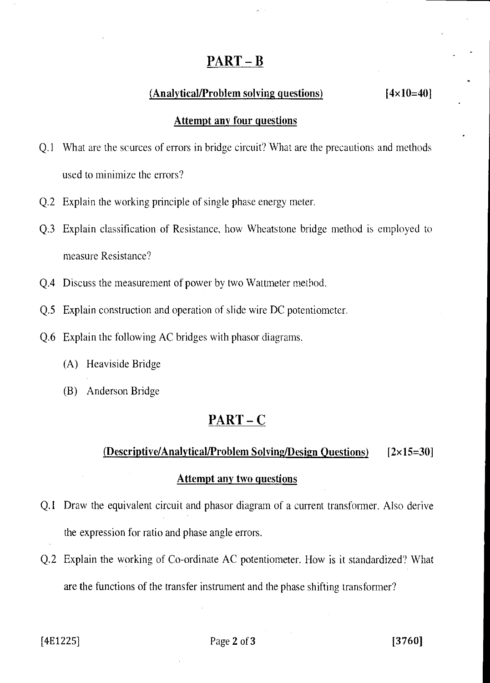#### PART - B

#### $(Analytical/Problem solving questions)$  [4x10=40]

#### Attempt any four questions

- Q.1 What are the sources of errors in bridge circuit? What are the precautions and methods used to minimize the errors?
- Q.2 Explain the working principle of single phase energy meter.
- Q.3 Explain classification of Resistance, how Wheatstone bridge method is employed to measure Resistance?
- Q.4 Discuss the measurement of power by two Wattmeter method.
- Q.5 Explain construction and operation of slide wire DC potentiometer.
- Q.6 Explain the following AC bridges with phasor diagrams.
	- (A) Heaviside Bridge
	- (B) Anderson Bridge

#### PART-C

#### (Descriptive/Analytical/Problem Solving/Design Questions) [2x15=30]

#### Attempt any two questions

- Q.1 Draw the equivalent circuit and phasor diagram of a current transformer. Also derive the expression for ratio and phase angle errors.
- Q.2 Explain the working of Co-ordinate AC potentiometer. How is it standardized? What are the functions of the transfer instrument and the phase shifting transformer?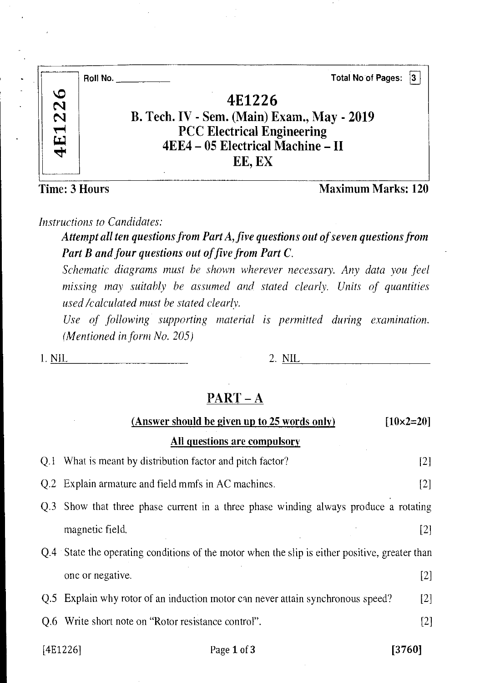|               | <b>Total No of Pages:</b><br> 3 <br>Roll No. _______ |
|---------------|------------------------------------------------------|
| $\circ$<br>22 | 4E1226                                               |
|               | B. Tech. IV - Sem. (Main) Exam., May - 2019          |
|               | <b>PCC Electrical Engineering</b>                    |
| 4E1           | 4EE4 – 05 Electrical Machine – II                    |
|               | EE, EX                                               |
|               |                                                      |

Time: 3 Hours Maximum Marks: 120

*Instructions to Candidates:* 

*Attempt all ten questions from Part A, five questions out of seven questions from Part B and four questions out of five from Part C.* 

*Schematic diagrams must be shown wherever necessary. Any data you feel missing may suitably be assumed and stated clearly. Units of quantities used /calculated must be stated clearly.* 

*Use of following supporting material is permitted during examination. (Mentioned in form No. 205)* 

1. NIL 2. NIL

# PART — A

|      | (Answer should be given up to 25 words only)                                                   | $[10 \times 2 = 20]$ |
|------|------------------------------------------------------------------------------------------------|----------------------|
|      | All questions are compulsory                                                                   |                      |
| O. 1 | What is meant by distribution factor and pitch factor?                                         | [2]                  |
|      | Q.2 Explain armature and field mmfs in AC machines.                                            | [2]                  |
|      | Q.3 Show that three phase current in a three phase winding always produce a rotating           |                      |
|      | magnetic field.                                                                                | $[2]$                |
|      | Q.4 State the operating conditions of the motor when the slip is either positive, greater than |                      |
|      | one or negative.                                                                               | $[2]$                |
|      | Q.5 Explain why rotor of an induction motor can never attain synchronous speed?                | [2]                  |
|      | Q.6 Write short note on "Rotor resistance control".                                            | [2]                  |
|      | [4E1226]<br>Page 1 of 3                                                                        | 3760]                |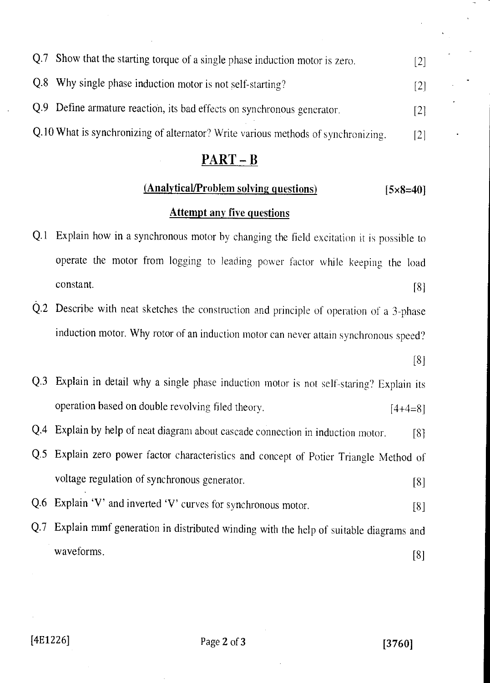| Q.7 Show that the starting torque of a single phase induction motor is zero.      |     |
|-----------------------------------------------------------------------------------|-----|
| Q.8 Why single phase induction motor is not self-starting?                        | [2] |
| Q.9 Define armature reaction, its bad effects on synchronous generator.           | [2] |
| Q.10 What is synchronizing of alternator? Write various methods of synchronizing. |     |

#### PART - B

#### (Analytical/Problem solving questions) [5x8=40]

#### Attempt any five questions

- Q.1 Explain how in a synchronous motor by changing the field excitation it is possible to operate the motor from logging to leading power factor while keeping the load Explain how in a synchronous motor by changing the field excitation it is possible to<br>operate the motor from logging to leading power factor while keeping the load<br>constant. [8]
- Q.2 Describe with neat sketches the construction and principle of operation of a 3-phase induction motor. Why rotor of an induction motor can never attain synchronous speed?

[8]

- Q.3 Explain in detail why a single phase induction motor is not self-staring? Explain its operation based on double revolving filed theory.  $[4+4=8]$
- Q.4 Explain by help of neat diagram about cascade connection in induction motor. [8]
- Q.5 Explain zero power factor characteristics and concept of Potier Triangle Method of voltage regulation of synchronous generator. 181

Q.6 Explain 'V' and inverted 'V' curves for synchronous motor. [8]

Q.7 Explain mmf generation in distributed winding with the help of suitable diagrams and waveforms. [8]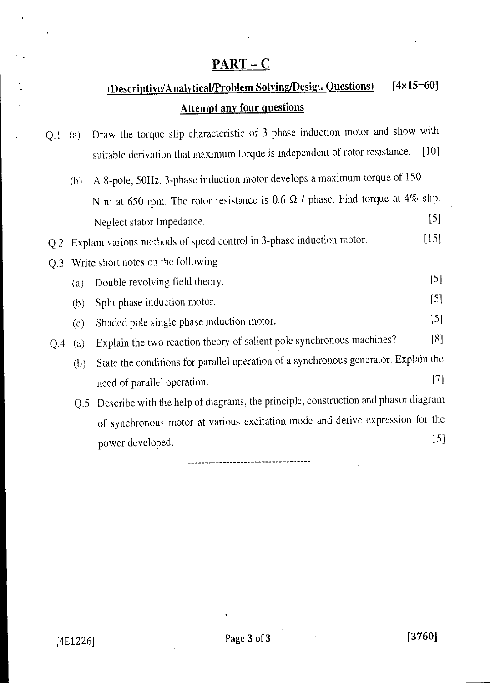# PART-C

# (Descriptive/Analytical/Problem Solving/Design Questions) [4x15=60] Attempt any four questions

| $Q.1$ (a) |     | Draw the torque slip characteristic of 3 phase induction motor and show with          |                    |
|-----------|-----|---------------------------------------------------------------------------------------|--------------------|
|           |     | suitable derivation that maximum torque is independent of rotor resistance.           | $\lceil 10 \rceil$ |
|           | (b) | A 8-pole, 50Hz, 3-phase induction motor develops a maximum torque of 150              |                    |
|           |     | N-m at 650 rpm. The rotor resistance is 0.6 $\Omega$ / phase. Find torque at 4% slip. |                    |
|           |     | Neglect stator Impedance.                                                             | $[5]$              |
| Q.2       |     | Explain various methods of speed control in 3-phase induction motor.                  | [15]               |
| Q.3       |     | Write short notes on the following-                                                   |                    |
|           | (a) | Double revolving field theory.                                                        | $[5]$              |
|           | (b) | Split phase induction motor.                                                          | $[5]$              |
|           | (c) | Shaded pole single phase induction motor.                                             | $[5]$              |
| Q.4       | (a) | Explain the two reaction theory of salient pole synchronous machines?                 | [8]                |
|           | (b) | State the conditions for parallel operation of a synchronous generator. Explain the   |                    |
|           |     | need of parallel operation.                                                           | $[7]$              |
|           | Q.5 | Describe with the help of diagrams, the principle, construction and phasor diagram    |                    |
|           |     | of synchronous motor at various excitation mode and derive expression for the         |                    |
|           |     | power developed.                                                                      | $[15]$             |
|           |     | ----------------------------                                                          |                    |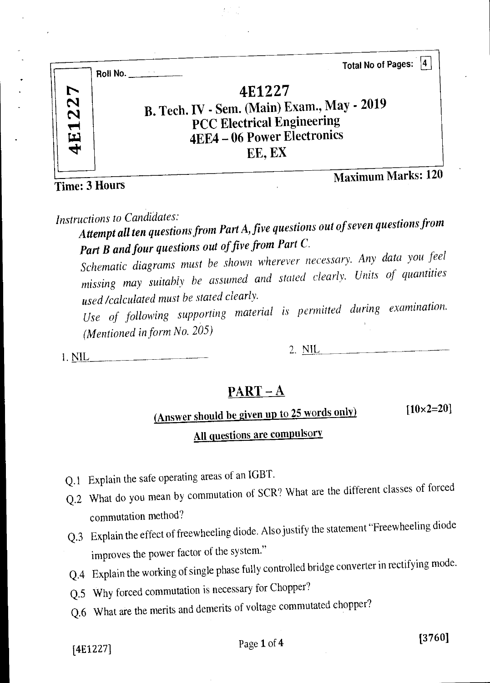|            | Total No of Pages:  4<br>Roll No.                                                                                                   |
|------------|-------------------------------------------------------------------------------------------------------------------------------------|
| 227<br>4E1 | 4E1227<br>B. Tech. IV - Sem. (Main) Exam., May - 2019<br><b>PCC Electrical Engineering</b><br>4EE4 - 06 Power Electronics<br>EE, EX |
|            | <b>Maximum Marks: 120</b>                                                                                                           |

Time: 3 Hours

*Instructions to Candidates:* 

*Attempt all ten questions from Part A, five questions out of seven questions from Part B and four questions out of five from Part C.* 

*Schematic diagrams must be shown wherever necessary. Any data you feel missing may suitably be assumed and stated clearly. Units of quantities used /calculated must be stated clearly.* 

*Use of following supporting material is permitted during examination. (Mentioned in form No. 205)* 

1. NIL 2. NIL

# $PART - A$

(Answer should be given up to 25 words only)  $[10 \times 2=20]$ 

# All questions are compulsory

- Q.1 Explain the safe operating areas of an IGBT.
- Q.2 What do you mean by commutation of SCR? What are the different classes of forced commutation method?
- Q.3 Explain the effect of freewheeling diode. Also justify the statement "Freewheeling diode improves the power factor of the system."
- Q.4 Explain the working of single phase fully controlled bridge converter in rectifying mode.
- Q.5 Why forced commutation is necessary for Chopper?
- Q.6 What are the merits and demerits of voltage commutated chopper?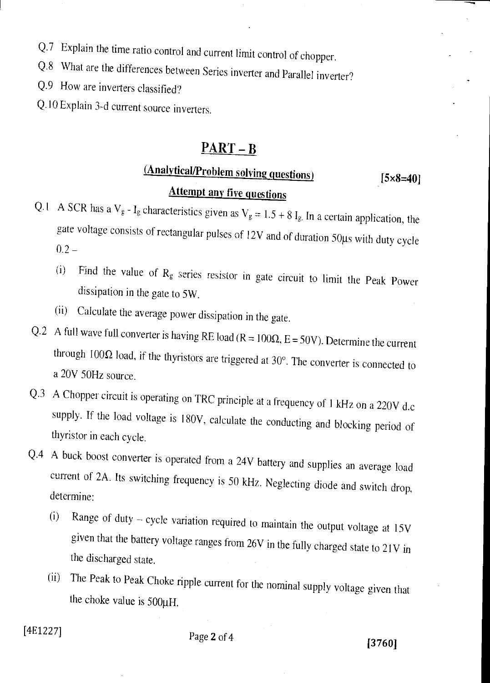- Q.7 Explain the time ratio control and current limit control of chopper.
- Q.8 What are the differences between Series inverter and Parallel inverter?
- Q.9 How are inverters classified?
- Q.10 Explain 3-d current source inverters.

# PART-B

# $(Analytical/Problem solving questions)$  [5×8=40] **Attempt any five questions**

- Q.1 A SCR has a  $V_g I_g$  characteristics given as  $V_g = 1.5 + 8 I_g$ . In a certain application, the gate voltage consists of rectangular pulses of 12V and of duration 50us with duty cycle  $0.2 -$ 
	- (i) Find the value of  $R_g$  series resistor in gate circuit to limit the Peak Power dissipation in the gate to 5W.
	- (ii) Calculate the average power dissipation in the gate.
- Q.2 A full wave full converter is having RE load (R = 100 $\Omega$ , E = 50V). Determine the current through 100 $\Omega$  load, if the thyristors are triggered at 30°. The converter is connected to a 20V 50Hz source.
- Q.3 A Chopper circuit is operating on TRC principle at a frequency of 1 kHz on a 220V d.c supply. If the load voltage is 180V, calculate the conducting and blocking period of thyristor in each cycle.
- Q.4 A buck boost converter is operated from a 24V battery and supplies an average load current of 2A. Its switching frequency is 50 kHz. Neglecting diode and switch drop, determine:
	- (i) Range of duty cycle variation required to maintain the output voltage at 15V given that the battery voltage ranges from 26V in the fully charged state to 21V in the discharged state.
	- (ii) The Peak to Peak Choke ripple current for the nominal supply voltage given that the choke value is 500gH.

# $[4E1227]$  Page 2 of 4 [3760]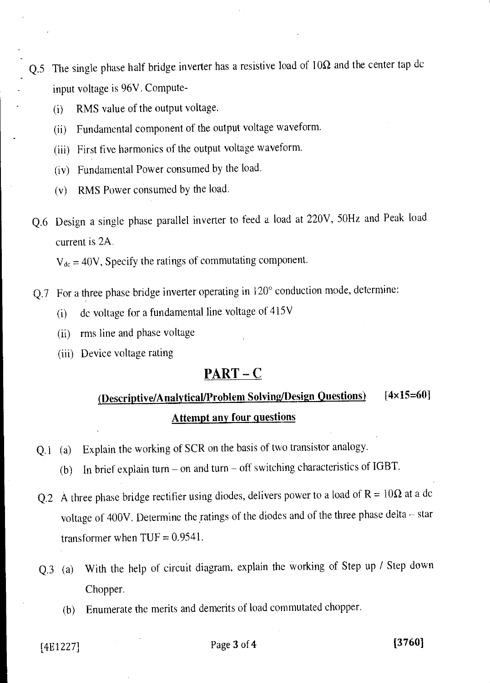- Q.5 The single phase half bridge inverter has a resistive load of  $10\Omega$  and the center tap dc input voltage is 96V. Compute-
	- (i) RMS value of the output voltage.
	- (ii) Fundamental component of the output voltage waveform.
	- (iii) First five harmonics of the output voltage waveform.
	- (iv) Fundamental Power consumed by the load.
	- (v) RMS Power consumed by the load.
- Q.6 Design a single phase parallel inverter to feed a load at 220V, 50Hz and Peak load current is 2A.

 $V_{dc} = 40V$ , Specify the ratings of commutating component.

- Q.7 For a three phase bridge inverter operating in 120° conduction mode, determine:
	- (i) dc voltage for a fundamental line voltage of 415V
	- (ii) rms line and phase voltage
	- (iii) Device voltage rating

#### PART - C

# (Descriptive/Analytical/Problem Solving/Design Questions) [4x15=60] Attempt any four questions

- Q.1 (a) Explain the working of SCR on the basis of two transistor analogy.
	- (b) In brief explain turn on and turn off switching characteristics of IGBT.
- Q.2 A three phase bridge rectifier using diodes, delivers power to a load of  $R = 10\Omega$  at a dc voltage of 400V. Determine the ratings of the diodes and of the three phase delta — star transformer when  $TUF = 0.9541$ .
- Q.3 (a) With the help of circuit diagram, explain the working of Step up / Step down Chopper.
	- (b) Enumerate the merits and demerits of load commutated chopper.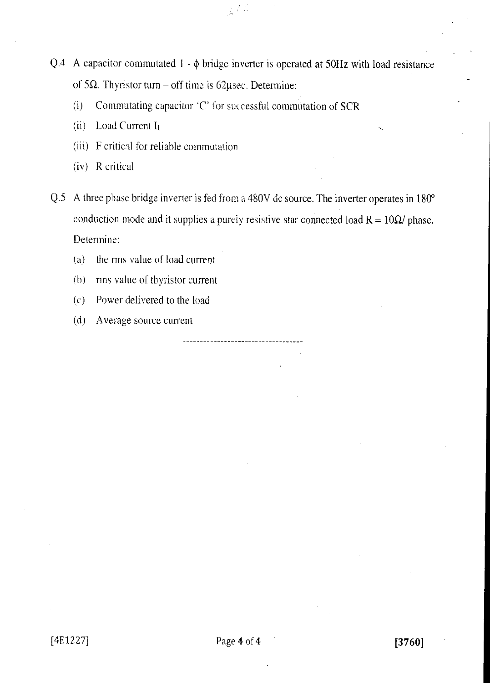Q.4 A capacitor commutated  $1 - \phi$  bridge inverter is operated at 50Hz with load resistance of 5 $\Omega$ . Thyristor turn – off time is 62 $\mu$ sec. Determine:

 $\frac{1}{2a}\left(\frac{p}{2}\right)^{2}+\frac{1}{2}$ 

- (i) Commutating capacitor 'C' for successful commutation of SCR
- (ii) Load Current IL
- (iii) F critical for reliable commutation
- (iv) R critical
- Q.5 A three phase bridge inverter is fed from a 480V dc source. The inverter operates in 180° conduction mode and it supplies a purely resistive star connected load  $R = 10\Omega$ / phase. Determine:
	- (a) the rms value of load current
	- (b) rms value of thyristor current
	- (c) Power delivered to the load
	- (d) Average source current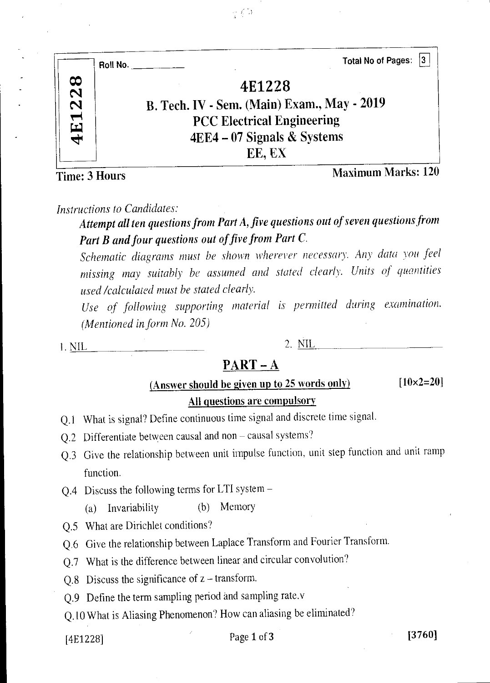| <b>Total No of Pages:</b><br>Roll No.       |
|---------------------------------------------|
| 4E1228                                      |
| B. Tech. IV - Sem. (Main) Exam., May - 2019 |
| <b>PCC Electrical Engineering</b>           |
| 4EE4 - 07 Signals & Systems                 |
| EE, EX                                      |
|                                             |

Time: 3 Hours Maximum Marks: 120

#### *Instructions to Candidates:*

*Attempt all ten questions from Part A, five questions out of seven questions from*  Part B and four questions out of five from Part C.

*Schematic diagrams must be shown wherever necessary. Any data you feel missing may suitably be assumed and stated clearly. Units of quantities used /calculated must be stated clearly.* 

*Use of following supporting material is permitted during examination. (Mentioned in form No. 205)* 

*I.* NIL 2. NIL

# PART — A

(Answer should be given up to 25 words only)  $[10 \times 2=20]$ All questions are compulsory

- Q.1 What is signal? Define continuous time signal and discrete time signal.
- Q.2 Differentiate between causal and non causal systems?
- Q.3 Give the relationship between unit impulse function, unit step function and unit ramp function.
- Q.4 Discuss the following terms for LTI system
	- (a) Invariability (b) Memory
- Q.5 What are Dirichlet conditions?
- Q.6 Give the relationship between Laplace Transform and Fourier Transform.
- Q.7 What is the difference between linear and circular convolution?
- Q.8 Discuss the significance of z transform.
- Q.9 Define the term sampling period and sampling rate.v
- Q.10 What is Aliasing Phenomenon? How can aliasing be eliminated?

### $[4E1228]$  Page 1 of 3 [3760]

 $\varphi \in \mathcal{V}$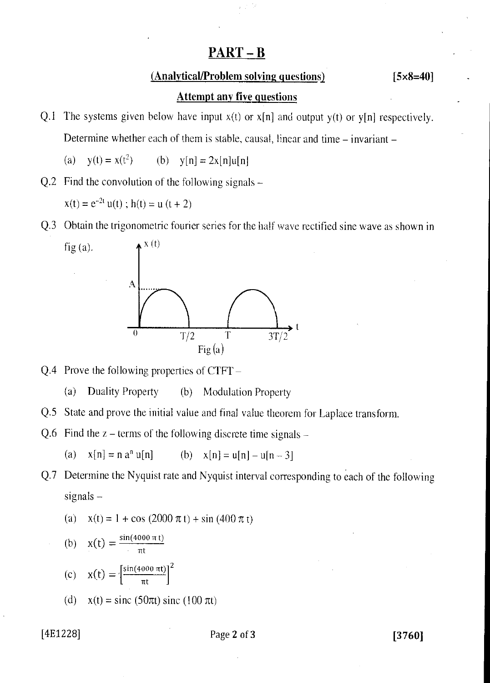#### PART — B

#### (Analytical/Problem solving questions) [5x8=40]

#### Attempt any five questions

Q.1 The systems given below have input  $x(t)$  or  $x[n]$  and output  $y(t)$  or  $y[n]$  respectively. Determine whether each of them is stable, causal, linear and time — invariant —

(a)  $y(t) = x(t^2)$  (b)  $y[n] = 2x[n]u[n]$ 

Q.2 Find the convolution of the following signals —

 $x(t) = e^{-2t} u(t)$ ;  $h(t) = u (t + 2)$ 

A

fig (a).  $\qquad \qquad \blacklozenge^{X(t)}$ 

Q.3 Obtain the trigonometric fourier series for the half wave rectified sine wave as shown in

t



- Q.4 Prove the following properties of CTFT
	- (a) Duality Property (b) Modulation Property
- Q.5 State and prove the initial value and final value theorem for Laplace transform.
- Q.6 Find the  $z$  terms of the following discrete time signals
	- (a)  $x[n] = n a^n u[n]$  (b)  $x[n] = u[n] u[n-3]$
- Q.7 Determine the Nyquist rate and Nyquist interval corresponding to each of the following signals —
	- (a)  $x(t) = 1 + \cos(2000 \pi t) + \sin(400 \pi t)$
	- (b)  $x(t) = \frac{\sin(4000 \pi t)}{\pi t}$
	- $=\left[\frac{\sin(4000 \pi t)}{2}\right]^2$  $l$   $\pi t$
	- (d)  $x(t) = \text{sinc} (50\pi t) \text{ sinc} (100\pi t)$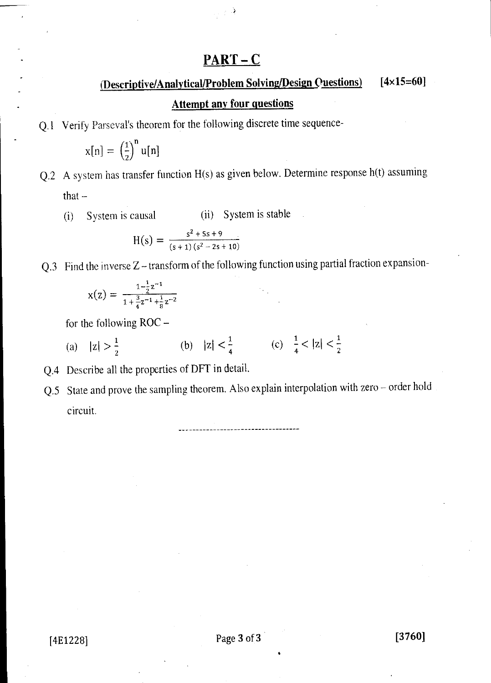## PART-C

# (Descriptive/Analytical/Problem Solving/Design Questions) [4x15=60]

## Attempt any four questions

Q.1 Verify Parseval's theorem for the following discrete time sequence-

$$
x[n] = \left(\frac{1}{2}\right)^n u[n]
$$

- Q.2 A system has transfer function H(s) as given below. Determine response h(t) assuming that —
	- (ii) System is stable (i) System is causal

$$
H(s) = \frac{s^2 + 5s + 9}{(s + 1)(s^2 - 2s + 10)}
$$

Q.3 Find the inverse Z— transform of the following function using partial fraction expansion-

$$
x(z)=\,\frac{1-\frac{1}{2}z^{-1}}{1+\frac{3}{4}z^{-1}+\frac{1}{8}z^{-2}}
$$

for the following ROC —

(a)  $|z| > \frac{1}{2}$  (b)  $|z| < \frac{1}{4}$  (c)  $\frac{1}{4} < |z| < \frac{1}{2}$ 

Q.4 Describe all the properties of DFT in detail.

Q.5 State and prove the sampling theorem. Also explain interpolation with zero — order hold circuit.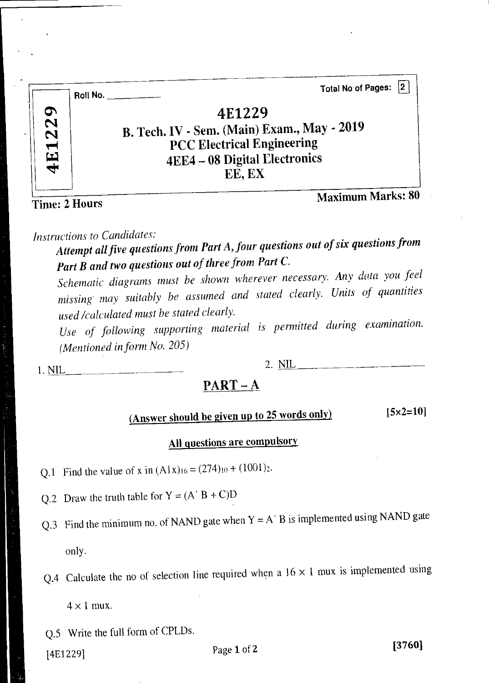|        | Total No of Pages: 2<br>Roll No. $\_\_\_\_\_\_\_\_\$  |
|--------|-------------------------------------------------------|
| 4E1229 | 4E1229<br>B. Tech. IV - Sem. (Main) Exam., May - 2019 |
|        | <b>PCC Electrical Engineering</b>                     |
|        | 4EE4 - 08 Digital Electronics<br>EE, EX               |
|        | $\blacksquare$ Monkey QA                              |

Time: 2 Hours **Maximum Marks: 80** 

## *Instructions to Candidates:*

*Attempt all five questions from Part A, four questions out of six questions from Part B and two questions out of three from Part C.* 

*Schematic diagrams must be shown wherever necessary. Any data you feel missing may suitably be assumed and stated clearly. Units of quantities used /calculated must be stated clearly.* 

*Use of following supporting material is permitted during examination. (Mentioned in form No. 205)* 

 $1. \underline{\text{NIL}}$  2.  $\underline{\text{NIL}}$ 

### PART - A

(Answer should be given up to 25 words only)  $[5 \times 2=10]$ 

## All questions are compulsory

- Q.1 Find the value of x in  $(A1x)_{16} = (274)_{10} + (1001)_{2}$ .
- Q.2 Draw the truth table for  $Y = (A' B + C)D$
- Q.3 Find the minimum no. of NAND gate when  $Y = A' B$  is implemented using NAND gate only.

Q.4 Calculate the no of selection line required when a  $16 \times 1$  mux is implemented using

 $4 \times 1$  mux.

Q.5 Write the full form of CPLDs.

 $[4E1229]$  Page 1 of 2 [3760]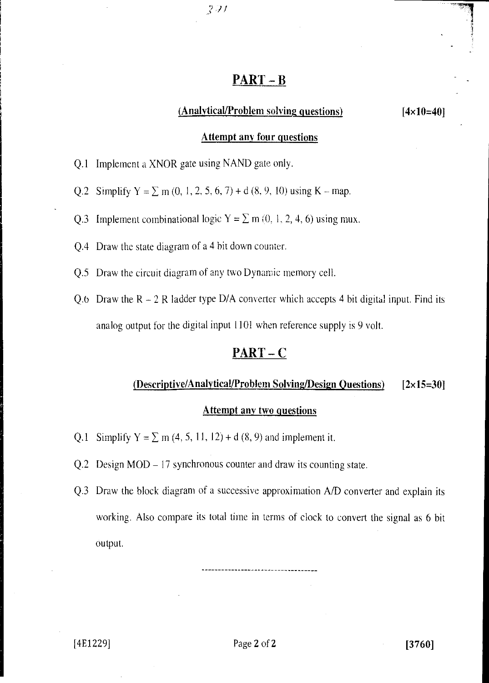#### $PART - B$

#### (Analytical/Problem solving questions) [4x10=40]

#### Attempt any four questions

- Q.1 Implement a XNOR gate using NAND gate only.
- Q.2 Simplify  $Y = \sum m (0, 1, 2, 5, 6, 7) + d (8, 9, 10)$  using K map.

i I1

- Q.3 Implement combinational logic  $Y = \sum m (0, 1, 2, 4, 6)$  using mux.
- Q.4 Draw the state diagram of a 4 hit down counter.
- Q.5 Draw the circuit diagram of any two Dynamic memory cell.
- Q.6 Draw the  $R 2 R$  ladder type D/A converter which accepts 4 bit digital input. Find its analog output for the digital input 1101 when reference supply is 9 volt.

#### $PART - C$

#### (Descriptive/Analytical/Problem Solving/Design Questions) [2x 15=30]

#### Attempt any two questions

- Q.1 Simplify  $Y = \sum m (4, 5, 11, 12) + d (8, 9)$  and implement it.
- Q.2 Design MOD 17 synchronous counter and draw its counting state.
- Q.3 Draw the block diagram of a successive approximation A/D converter and explain its working. Also compare its total time in terms of clock to convert the signal as 6 bit output.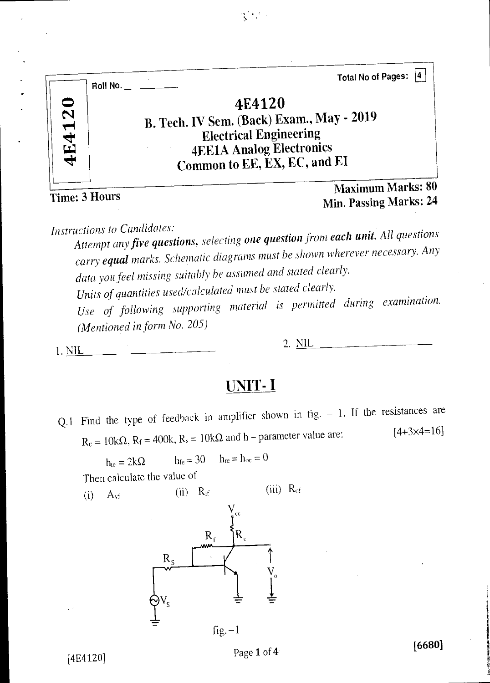$\mathbb{C}^{n+1}$ 

|        | Total No of Pages:  4<br>Roll No. $\_\_\_\_\_\$                                                                                                         |
|--------|---------------------------------------------------------------------------------------------------------------------------------------------------------|
| 4E4120 | 4E4120<br>B. Tech. IV Sem. (Back) Exam., May - 2019<br><b>Electrical Engineering</b><br><b>4EE1A Analog Electronics</b><br>Common to EE, EX, EC, and EI |
|        | <b>Maximum Marks: 80</b>                                                                                                                                |

Maximum Marks: 80 Time: 3 Hours<br>Min. Passing Marks: 24

*Instructions to Candidates:* 

*Attempt any five questions, selecting one question from each unit. All questions carry equal marks. Schematic diagrams must be shown wherever necessary. Any data you feel missing suitably be assumed and stated clearly. Units of quantities used/calculated must be stated clearly. Use of following supporting material is permitted during examination. (Mentioned in form No. 205)* 

I. NIL

2. NIL

# UNIT- I

Find the type of feedback in amplifier shown in fig. — 1. If the resistances are  $R_c = 10k\Omega$ ,  $R_f = 400k$ ,  $R_s = 10k\Omega$  and h – parameter value are: [4+3×4=16] Q.1

$$
h_{ie}=2k\Omega\qquad \qquad h_{fe}=30\qquad h_{re}=h_{oe}=0
$$

Then calculate the value of

(i)  $A_{vf}$  (ii)  $R_{if}$  (iii)  $R_{of}$ 



[6680]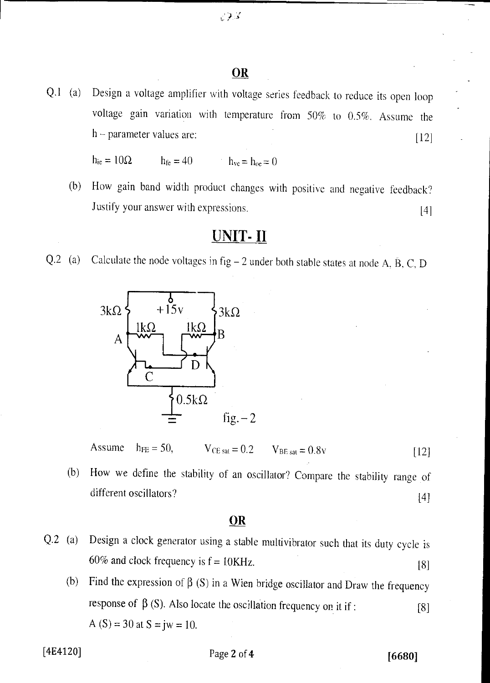#### **OR**

 $\mathcal{E}$  )  $\mathcal{S}$ 

Q.1 (a) Design a voltage amplifier with voltage series feedback to reduce its open loop voltage gain variation with temperature from 50% to 0.5%. Assume the  $h$  – parameter values are: [12]

 $h_{\text{ie}} = 10\Omega$  h<sub>fe</sub> = 40 h<sub>ve</sub> =  $h_{\text{oe}} = 0$ 

(b) How gain band width product changes with positive and negative feedback? Justify your answer with expressions. [4]

#### UNIT- II

Q.2 (a) Calculate the node voltages in fig  $-2$  under both stable states at node A, B, C, D



Assume  $h_{FE} = 50$ ,  $V_{CE\ sat} = 0.2$   $V_{BE\ sat} = 0.8v$  [12]

(b) How we define the stability of an oscillator? Compare the stability range of different oscillators? [4]

#### **OR**

- Q.2 (a) Design a clock generator using a stable multivibrator such that its duty cycle is 60% and clock frequency is  $f = 10KHz$ . [8]
	- (b) Find the expression of  $\beta$  (S) in a Wien bridge oscillator and Draw the frequency response of  $\beta$  (S). Also locate the oscillation frequency on it if : [8] A  $(S) = 30$  at  $S = jw = 10$ .

#### $[4E4120]$  Page 2 of 4 [6680]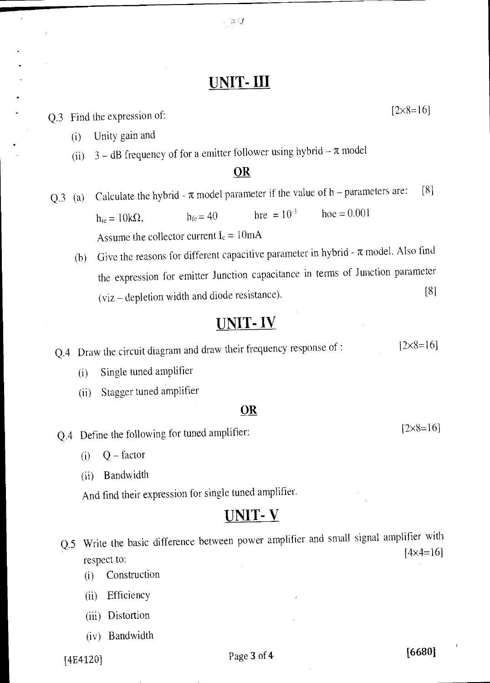# UNIT- III

Q.3 Find the expression of:  $[2 \times 8 = 16]$ 

(i) Unity gain and

(ii)  $3 - dB$  frequency of for a emitter follower using hybrid  $-\pi$  model

#### OR

- Q.3 (a) Calculate the hybrid  $\pi$  model parameter if the value of h parameters are: [8]  $h_{\text{ie}} = 10k\Omega$ ,  $h_{\text{fe}} = 40$  hre =  $10^{-3}$  hoe = 0.001 Assume the collector current  $I_c = 10 \text{mA}$ 
	- (b) Give the reasons for different capacitive parameter in hybrid  $\pi$  model. Also find the expression for emitter Junction capacitance in terms of Junction parameter (viz — depletion width and diode resistance). [81

## UNIT- IV

Q.4 Draw the circuit diagram and draw their frequency response of :  $[2 \times 8 = 16]$ 

- (i) Single tuned amplifier
- (ii) Stagger tuned amplifier

#### OR

Q.4 Define the following for tuned amplifier:  $[2 \times 8 = 16]$ 

- $(i)$  Q factor
- (ii) Bandwidth

And find their expression for single tuned amplifier.

#### UNIT- V

- Q.5 Write the basic difference between power amplifier and small signal amplifier with respect to:  $[4 \times 4 = 16]$ 
	- (i) Construction
	- (ii) Efficiency
	- (iii) Distortion
	- (iv) Bandwidth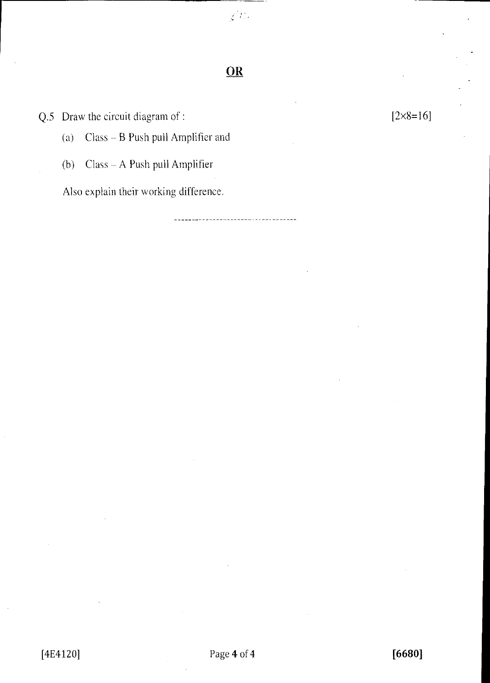$\chi(\lambda)$ 

# OR

Q.5 Draw the circuit diagram of :  $[2 \times 8 = 16]$ 

(a) Class — B Push pull Amplifier and

(b) Class — A Push pull Amplifier

Also explain their working difference.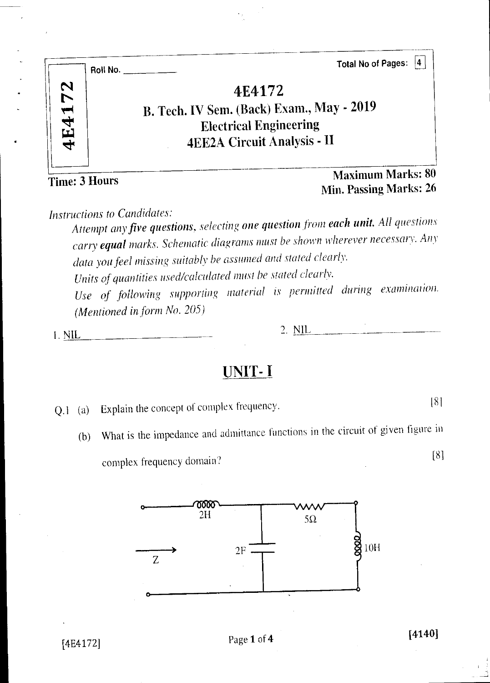|               | Roll No. | Total No of Pages:                                                                                                         |
|---------------|----------|----------------------------------------------------------------------------------------------------------------------------|
| 4E4172        |          | 4E4172<br>B. Tech. IV Sem. (Back) Exam., May - 2019<br><b>Electrical Engineering</b><br><b>4EE2A Circuit Analysis - II</b> |
| Time: 3 Hours |          | <b>Maximum Marks: 80</b><br>Min. Passing Marks: 26                                                                         |

*Instructions to Candidates:* 

*Attempt any five questions, selecting one question from each unit. All questions carry equal marks. Schematic diagrams must be shown wherever necessary. Any data you feel missing suitably be assumed and stated clearly. Units of quantities used/calculated must be stated deafly. Use of following supporting material is permitted during examination. (Mentioned in form No. 205)* 

*I.* NIL 2. NIL

# UNIT- I

Q.1 (a) Explain the concept of complex frequency. [8]

(b) What is the impedance and admittance functions in the circuit of given figure in

complex frequency domain? [8]

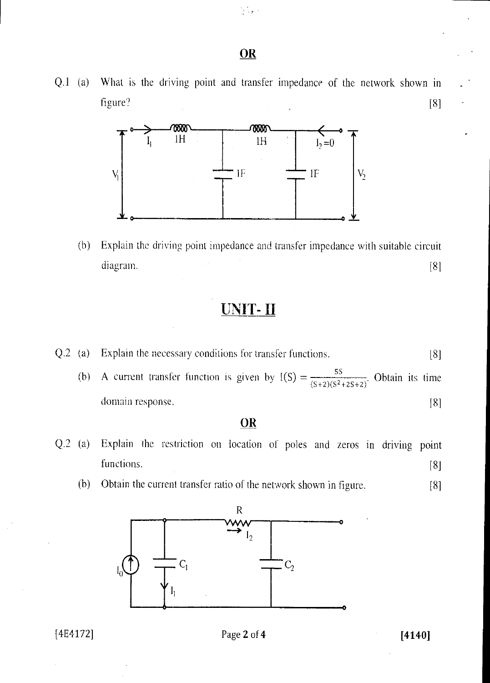#### OR

 $\frac{1}{2} \frac{1}{2} \frac{1}{F}$ 

Q.1 (a) What is the driving point and transfer impedance of the network shown in  $figure?$  [8]



(h) Explain the driving point impedance and transfer impedance with suitable circuit diagram. [81

# UNIT-II

|  | Q.2 (a) Explain the necessary conditions for transfer functions.                                  |  | [8] |
|--|---------------------------------------------------------------------------------------------------|--|-----|
|  | (b) A current transfer function is given by $I(S) = \frac{5S}{(S+2)(S^2+2S+2)}$ . Obtain its time |  |     |
|  | domain response.                                                                                  |  |     |

#### OR

- Q.2 (a) Explain the restriction on location of poles and zeros in driving point functions. [8]
	- (b) Obtain the current transfer ratio of the network shown in figure. [8]

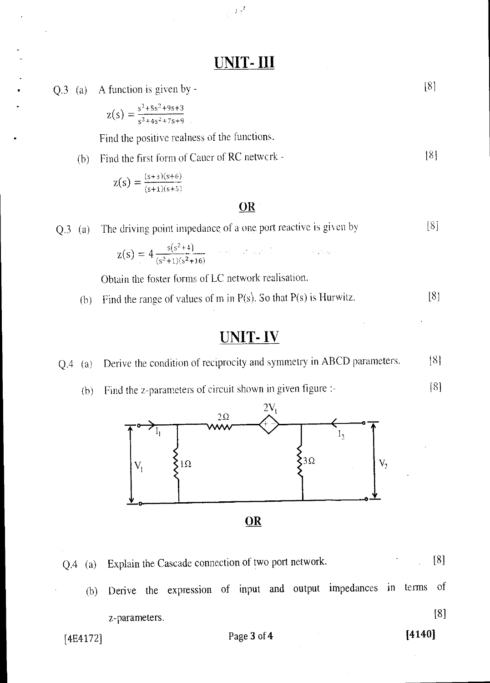|           | <b>TINIT. III</b>                                        |     |
|-----------|----------------------------------------------------------|-----|
| $Q.3$ (a) | A function is given by -                                 | [8] |
|           | $z(s) = \frac{s^3 + 5s^2 + 9s + 3}{s^3 + 4s^2 + 7s + 9}$ |     |
|           | Find the positive realness of the functions.             |     |
| (b)       | Find the first form of Cauer of RC network -             | [8] |
|           | $z(s) = \frac{(s+3)(s+6)}{(s+1)(s+5)}$                   |     |
|           |                                                          |     |

 $\mathbb{R}^2$ 

Q.3 (a) The driving point impedance of a one port reactive is given by [8]

$$
z(s) = 4 \frac{s(s^2+1)}{(s^2+1)(s^2+16)}
$$

Obtain the foster forms of LC network realisation.

(b) Find the range of values of m in  $P(s)$ . So that  $P(s)$  is Hurwitz. [81

# UNIT- IV

|  |  | Q.4 (a) Derive the condition of reciprocity and symmetry in ABCD parameters. | [8] |
|--|--|------------------------------------------------------------------------------|-----|
|--|--|------------------------------------------------------------------------------|-----|

(b) Find the z-parameters of circuit shown in given figure :- 181



| [4E4172] | Page 3 of 4   |  |                                                               |  | [4140] |                                                                      |  |     |
|----------|---------------|--|---------------------------------------------------------------|--|--------|----------------------------------------------------------------------|--|-----|
|          | z-parameters. |  |                                                               |  |        |                                                                      |  | [8] |
|          |               |  |                                                               |  |        | (b) Derive the expression of input and output impedances in terms of |  |     |
|          |               |  | $Q.4$ (a) Explain the Cascade connection of two port network. |  |        |                                                                      |  |     |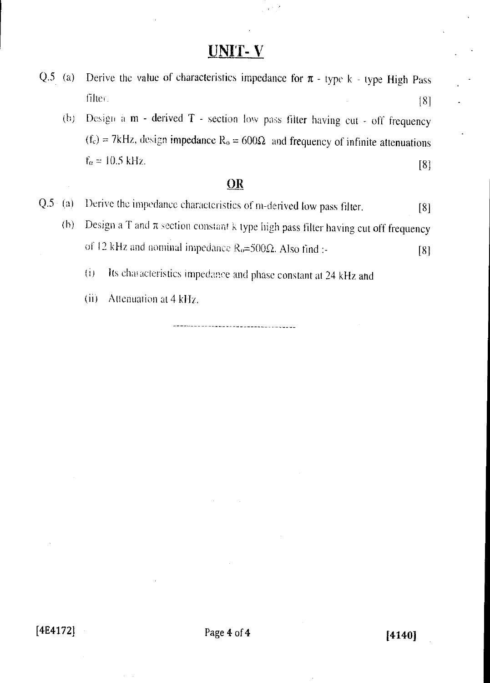## UNIT-V

 $\mathbf{v} \in \mathbb{R}^d$ 

- Q.5 (a) Derive the value of characteristics impedance for  $\pi$  type k type High Pass filter.  $[8]$ 
	- (h) Design a m derived T section low pass filter having cut off frequency  $f_c$  = 7kHz, design impedance R<sub>o</sub> = 600 $\Omega$  and frequency of infinite attenuations  $f_{\alpha} = 10.5 \text{ kHz.}$  [8]

#### OR

- $Q.5 \cdot (a)$  Derive the impedance characteristics of m-derived low pass filter. [8]
	- (b) Design a T and  $\pi$  section constant k type high pass filter having cut off frequency of 12 kHz and nominal impedance  $R_0 = 500\Omega$ . Also find :- [8]
		- (0 Its chin acieristics impedance and phase constant at 24 kHz and
		- (ii) Attenuation at 4 kHz.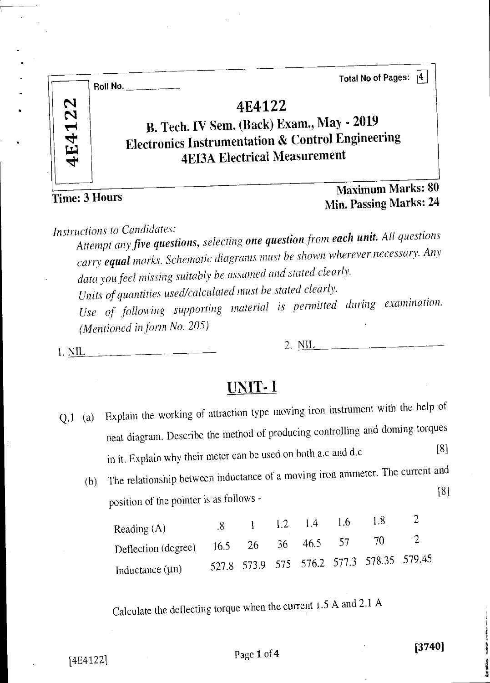Total No of Pages: 4

# **N** 4E4122

# B. Tech. IV Sem. (Back) Exam., May - 2019 Electronics Instrumentation & Control Engineering 4EI3A Electrical Measurement

Time: 3 Hours

 $\vec{r}$ 

dii

## Maximum Marks: 80 Min. Passing Marks: 24

*Instructions to Candidates:* 

Roll No.

*Attempt any five questions, selecting one question from each unit. All questions carry equal marks. Schematic diagrams must be shown wherever necessary. Any data you feel missing suitably be assumed and stated clearly.* 

*Units of quantities used/calculated must be stated clearly.* 

*Use of following supporting material is permitted during examination. (Mentioned in form No. 205)* 

1. NIL 2. NIL

# UNIT- I

- Explain the working of attraction type moving iron instrument with the help of neat diagram. Describe the method of producing controlling and doming torques in it. Explain why their meter can be used on both a.c and d.c [8]  $Q.1$  (a)
	- (b) The relationship between inductance of a moving iron ammeter. The current and [8] position of the pointer is as follows -

|  |  |  | $1 \t1.2 \t1.4 \t1.6 \t1.8$<br>Deflection (degree) 16.5 26 36 46.5 57 70 2<br>527.8 573.9 575 576.2 577.3 578.35 579.45 |
|--|--|--|-------------------------------------------------------------------------------------------------------------------------|

Calculate the deflecting torque when the current 1.5 A and 2.1 A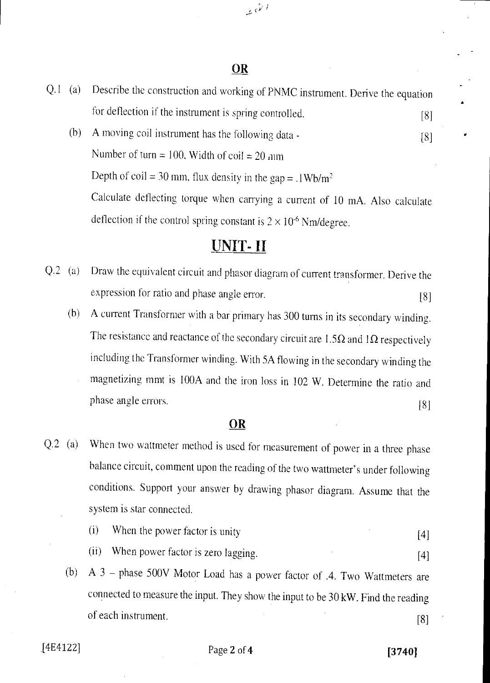#### OR

 $\mathbb{R}^{\tilde{\varphi}I}$ 

- Q.1 (a) Describe the construction and working of PNMC instrument. Derive the equation for deflection if the instrument is spring controlled. [8]
	- (b) A moving coil instrument has the following data [8] Number of turn = 100, Width of coil = 20 mm Depth of coil = 30 mm, flux density in the gap =  $.1 \text{Wb/m}^2$ Calculate deflecting torque when carrying a current of 10 mA. Also calculate deflection if the control spring constant is  $2 \times 10^{-6}$  Nm/degree.

# UNIT- II

- Q.2 (a) Draw the equivalent circuit and phasor diagram of current transformer. Derive the expression for ratio and phase angle error. [8]
	- (b) A current Transformer with a bar primary has 300 turns in its secondary winding. The resistance and reactance of the secondary circuit are  $1.5\Omega$  and  $1\Omega$  respectively including the Transformer winding. With 5A flowing in the secondary winding the magnetizing mmt is 100A and the iron loss in 102 W. Determine the ratio and phase angle errors. [8]

#### OR

- Q.2 (a) When two wattmeter method is used for measurement of power in a three phase balance circuit, comment upon the reading of the two wattmeter's under following conditions. Support your answer by drawing phasor diagram. Assume that the system is star connected.
	- (i) When the power factor is unity  $[4]$
	- (ii) When power factor is zero lagging. [4]
	- (b) A 3 phase 500V Motor Load has a power factor of .4. Two Wattmeters are connected to measure the input. They show the input to be 30 kW. Find the reading of each instrument. [8]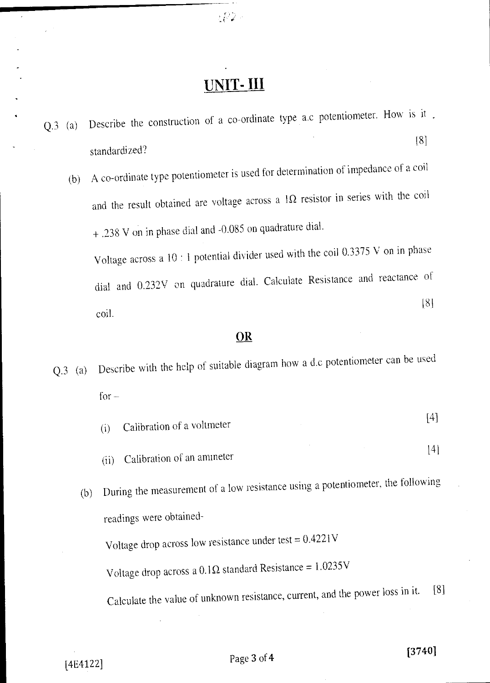7225

# UNIT-III

- Q.3 (a) Describe the construction of a co-ordinate type a.c potentiometer. How is it standardi zed? 81
	- (b) A co-ordinate type potentiometer is used for determination of impedance of a coil and the result obtained are voltage across a  $1\Omega$  resistor in series with the coil + .238 V on in phase dial and -0.085 on quadrature dial.

Voltage across a  $10:1$  potential divider used with the coil 0.3375 V on in phase dial and 0.232V on quadrature dial. Calculate Resistance and reactance of 181 coil.

#### OR

- Q.3 (a) Describe with the help of suitable diagram how a d.c potentiometer can be used  $for -$ 
	- ) Calibration of a voltmeter [4]
	- (ii) Calibration of an ammeter 141
	- (b) During the measurement of a low resistance using a potentiometer, the following readings were obtained-Voltage drop across low resistance under test = 0.4221V

Voltage drop across a  $0.1\Omega$  standard Resistance = 1.0235V

Calculate the value of unknown resistance, current, and the power loss in it. [8]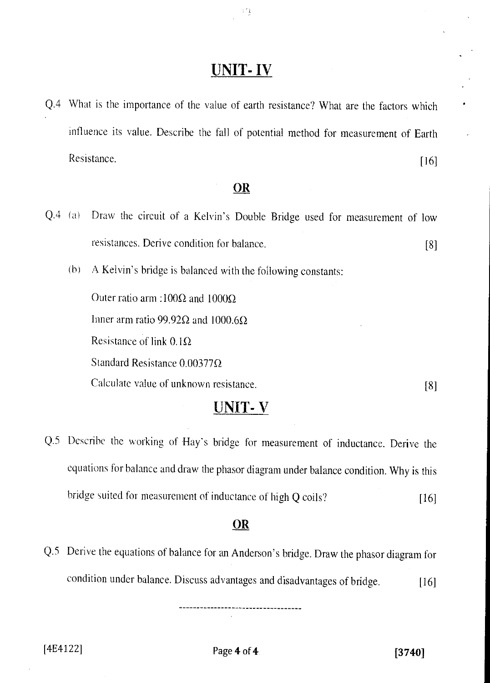# UNIT- IV

 $\mathcal{V}$  )

Q.4 What is the importance of the value of earth resistance? What are the factors which influence its value. Describe the fall of potential method for measurement of Earth influence its value. Describe the fall of potential method for measurement of Earth<br>Resistance. [16]

#### OR

- Q.4 (a) Draw the circuit of a Kelvin's Double Bridge used for measurement of low resistances. Derive condition for balance. [8]
	- (b) A Kelvin's bridge is balanced with the following constants:

Outer ratio arm :100 $\Omega$  and 1000 $\Omega$ Inner arm ratio 99.92 $\Omega$  and 1000.6 $\Omega$ Resistance of link  $0.1\Omega$ Standard Resistance  $0.00377\Omega$ Calculate value of unknown resistance. [8]

### UNIT- V

Q.5 Describe the working of Hay's bridge for measurement of inductance. Derive the equations for balance and draw the phasor diagram under balance condition. Why is this bridge suited for measurement of inductance of high Q coils? [16]

#### OR

Q.5 Derive the equations of balance for an Anderson's bridge. Draw the phasor diagram for condition under balance. Discuss advantages and disadvantages of bridge. [16]

 $[4E4122]$  Page 4 of 4 [3740]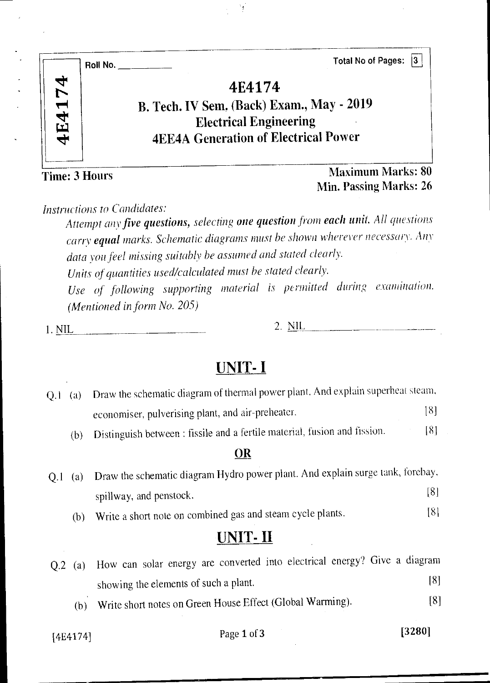|               | Roll No. | <b>Total No of Pages:</b><br>I3.                                                                                                    |
|---------------|----------|-------------------------------------------------------------------------------------------------------------------------------------|
| 4E4174        |          | 4E4174<br>B. Tech. IV Sem. (Back) Exam., May - 2019<br><b>Electrical Engineering</b><br><b>4EE4A Generation of Electrical Power</b> |
| Time: 3 Hours |          | <b>Maximum Marks: 80</b><br><b>Min. Passing Marks: 26</b>                                                                           |

 $\frac{1}{2}$ 

*instructions to Candidates:* 

*Attempt any five questions, selecting one question from each unit.* All *questions carry equal marks. Schematic diagrams must be shown wherever necessary. Any data you feel missing suitably be assumed and stated clearly. Units of quantities used/calculated must he stated clearly. Use of following supporting material is permitted during examination. (Mentioned in form No. 205)* 

*1.* NIL 2. NIL

# UNIT- I

| Q <sub>1</sub> | $\left( a\right)$ | Draw the schematic diagram of thermal power plant. And explain superheat steam, |     |
|----------------|-------------------|---------------------------------------------------------------------------------|-----|
|                |                   | economiser, pulverising plant, and air-preheater.                               | [8] |
|                | (b)               | Distinguish between : fissile and a fertile material, fusion and fission.       | [8] |
|                |                   | OR                                                                              |     |
| Q.I            | $\left( a\right)$ | Draw the schematic diagram Hydro power plant. And explain surge tank, forebay,  |     |
|                |                   | spillway, and penstock.                                                         | [8] |
|                | (b)               | Write a short note on combined gas and steam cycle plants.                      | [8] |
|                |                   | UNIT-II                                                                         |     |
|                | $Q.2$ (a)         | How can solar energy are converted into electrical energy? Give a diagram       |     |
|                |                   | showing the elements of such a plant.                                           | [8] |
|                | (b)               | Write short notes on Green House Effect (Global Warming).                       | [8] |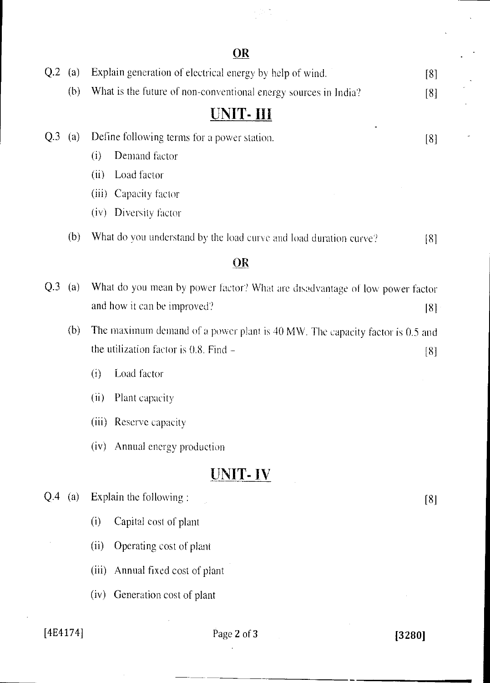|     |                   | OR                                                                           |     |
|-----|-------------------|------------------------------------------------------------------------------|-----|
| Q.2 | (a)               | Explain generation of electrical energy by help of wind.                     | [8] |
|     | (b)               | What is the future of non-conventional energy sources in India?              | [8] |
|     |                   | <u>UNIT- III</u>                                                             |     |
| Q.3 | $\left( a\right)$ | Define following terms for a power station.                                  | [8] |
|     |                   | Demand factor<br>(i)                                                         |     |
|     |                   | (ii)<br>Load factor                                                          |     |
|     |                   | Capacity factor<br>(iii)                                                     |     |
|     |                   | (iv) Diversity factor                                                        |     |
|     | (b)               | What do you understand by the load curve and load duration curve?            | [8] |
|     |                   | <u>OR</u>                                                                    |     |
| Q.3 | (a)               | What do you mean by power factor? What are disadvantage of low power factor  |     |
|     |                   | and how it can be improved?                                                  | [8] |
|     | (b)               | The maximum demand of a power plant is 40 MW. The capacity factor is 0.5 and |     |
|     |                   | the utilization factor is $0.8$ . Find $-$                                   | [8] |
|     |                   | Load factor<br>(i)                                                           |     |
|     |                   | Plant capacity<br>(ii)                                                       |     |
|     |                   | Reserve capacity<br>(iii)                                                    |     |
|     |                   | (iv) Annual energy production                                                |     |
|     |                   | <b>UNIT-IV</b>                                                               |     |
| Q.4 | (a)               | Explain the following:                                                       | [8] |
|     |                   | Capital cost of plant<br>(i)                                                 |     |
|     |                   | Operating cost of plant<br>(ii)                                              |     |
|     |                   | Annual fixed cost of plant<br>(iii)                                          |     |
|     |                   | Generation cost of plant<br>(iv)                                             |     |

 $\frac{1}{2} \frac{1}{2} \frac{1}{2} \frac{1}{2} \frac{1}{2}$ 

 $[4E4174]$  Page 2 of 3 [3280]

 $\ddot{\phantom{0}}$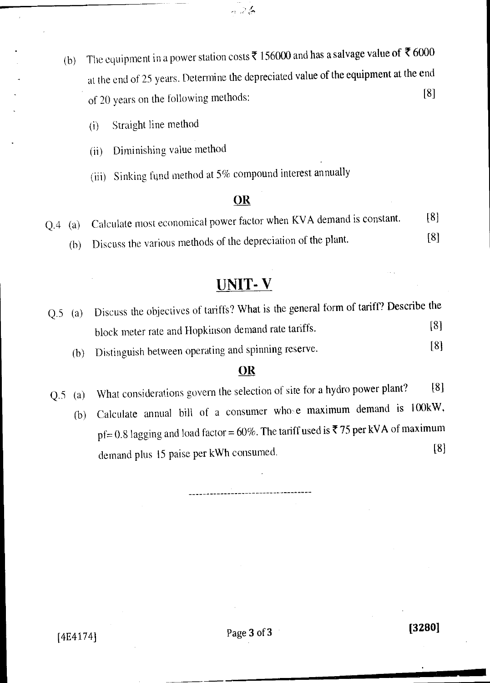(b) The equipment in a power station costs  $\bar{\tau}$  156000 and has a salvage value of  $\bar{\tau}$  6000 at the end of 25 years. Determine the depreciated value of the equipment at the end of 20 years on the following methods: [8]

 $\sim$   $\sim$   $\sim$ 

- (i) Straight line method
- (ii) Diminishing value method
- (iii) Sinking fund method at 5% compound interest annually

#### OR

Q.4 (a) Calculate most economical power factor when KVA demand is constant. [8] (b) Discuss the various methods of the depreciation of the plant. [8]

### UNIT-V

| $Q.5$ (a) | Discuss the objectives of tariffs? What is the general form of tariff? Describe the |                   |
|-----------|-------------------------------------------------------------------------------------|-------------------|
|           | block meter rate and Hopkinson demand rate tariffs.                                 | [8]               |
|           | Distinguish between operating and spinning reserve.                                 | $\lceil 8 \rceil$ |

#### **OR**

- Q.5 (a) What considerations govern the selection of site for a hydro power plant? [8]
	- (b) Calculate annual bill of a consumer whose maximum demand is 100kW, pf= 0.8 lagging and load factor = 60%. The tariff used is  $\overline{5}$  75 per kVA of maximum demand plus 15 paise per kWh consumed. [8]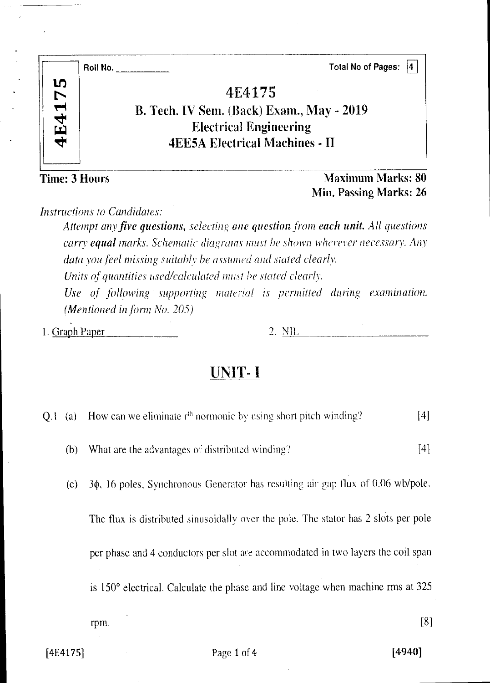|             | Roll No.      | Total No of Pages:<br>4                                                                                                       |
|-------------|---------------|-------------------------------------------------------------------------------------------------------------------------------|
| LŊ<br>4E417 |               | 4E4175<br>B. Tech. IV Sem. (Back) Exam., May - 2019<br><b>Electrical Engineering</b><br><b>4EE5A Electrical Machines - II</b> |
|             | Time: 3 Hours | <b>Maximum Marks: 80</b>                                                                                                      |
|             |               | Min. Passing Marks: 26                                                                                                        |

*Instructions to Candidates:* 

*Attempt any five questions, selecting one question from each unit. All questions carry equal marks. Schematic diagrams must he shown wherever necessary. Any data you feel missing suitably be assumed and stated clearly. Units of quantities used/calculated must he stated clearly. Use of following supporting material is permitted during examination. (Mentioned in form No. 205)* 

1. Graph Paper 2. NIL

# UNIT- I

| $Q.1$ (a) | How can we eliminate $rth$ normonic by using short pitch winding?<br>[4]                  |     |
|-----------|-------------------------------------------------------------------------------------------|-----|
| (b)       | $[4]$<br>What are the advantages of distributed winding?                                  |     |
| (c)       | 30, 16 poles, Synchronous Generator has resulting air gap flux of 0.06 wb/pole.           |     |
|           | The flux is distributed sinusoidally over the pole. The stator has 2 slots per pole       |     |
|           | per phase and 4 conductors per slot are accommodated in two layers the coil span          |     |
|           | is $150^{\circ}$ electrical. Calculate the phase and line voltage when machine rms at 325 |     |
|           | rpm.                                                                                      | [8] |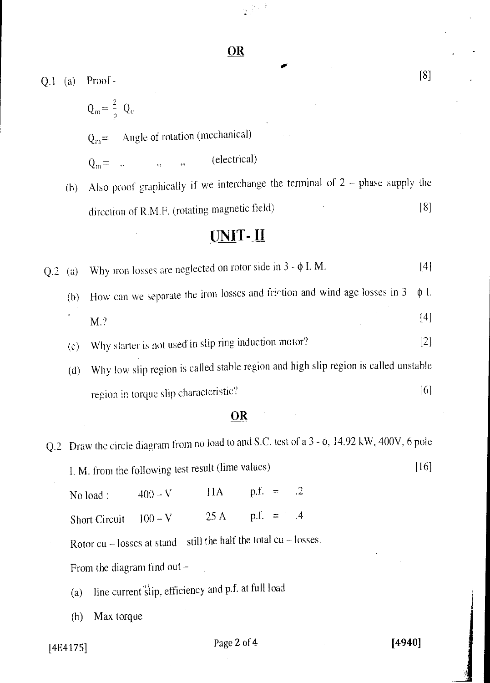$\frac{1}{\left(\frac{1}{\alpha}\right)^{\frac{1}{2}}}\leq \frac{1}{\alpha}$ 

| Q.I | (a)               | Proof-                                                                                | [8]   |
|-----|-------------------|---------------------------------------------------------------------------------------|-------|
|     |                   | $Q_m = \frac{2}{p} Q_e$                                                               |       |
|     |                   | Angle of rotation (mechanical)<br>$Q_m =$                                             |       |
|     |                   | (electrical)<br>$Q_m =$<br>,                                                          |       |
|     | (b)               | Also proof graphically if we interchange the terminal of $2$ – phase supply the       |       |
|     |                   | direction of R.M.F. (rotating magnetic field)                                         | [8]   |
|     |                   | UNIT-II                                                                               |       |
| Q.2 | (a)               | Why iron losses are neglected on rotor side in $3 - \phi$ I. M.                       | $[4]$ |
|     | (b)               | How can we separate the iron losses and friction and wind age losses in $3 - \phi$ I. |       |
|     |                   | M.?                                                                                   | [4]   |
|     | $\left( c\right)$ | Why starter is not used in slip ring induction motor?                                 | $[2]$ |
|     | (d)               | Why low slip region is called stable region and high slip region is called unstable   |       |
|     |                   | region in torque slip characteristic?                                                 | [6]   |

#### OR

Q.2 Draw the circle diagram from no load to and S.C. test of a  $3 - \phi$ , 14.92 kW, 400V, 6 pole

1. M. from the following test result (lime values) [16]

No load :  $400 - V$   $11A$  p.f. = .2

Short Circuit  $100 - V$  25 A p.f. = 4

Rotor cu — losses at stand — still the half the total cu — losses.

From the diagram find out —

- (a) line current slip, efficiency and p.f. at full load
- (b) Max torque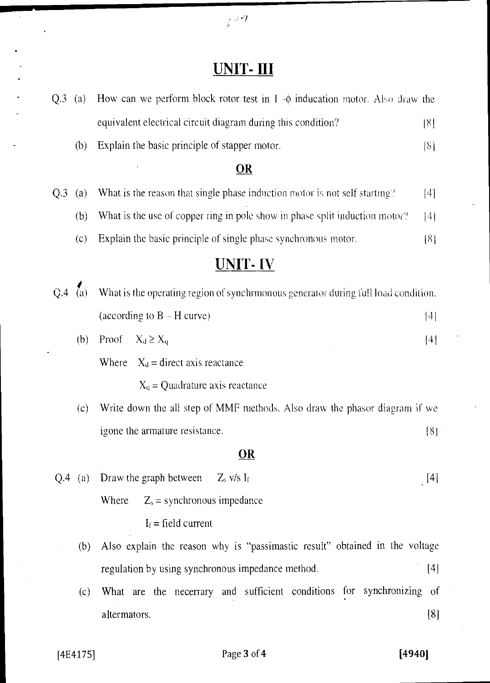$349$ 

# UNIT- III

| $Q.3$ (a) |           | How can we perform block rotor test in $1 - \phi$ inducation motor. Also draw the  |                     |
|-----------|-----------|------------------------------------------------------------------------------------|---------------------|
|           |           | equivalent electrical circuit diagram during this condition?                       | ${8}$               |
|           | (b)       | Explain the basic principle of stapper motor.                                      | [8]                 |
|           |           | $\overline{\text{OR}}$                                                             |                     |
| Q.3       | (a)       | What is the reason that single phase induction motor is not self starting?         | $[4]$               |
|           | (b)       | What is the use of copper ring in pole show in phase split induction motor?        | [4]                 |
|           | (c)       | Explain the basic principle of single phase synchronous motor.                     | [8]                 |
|           |           | <u>UNIT- IV</u>                                                                    |                     |
| O.4       | (a)       | What is the operating region of synchrmonous generator during full load condition. |                     |
|           |           | (according to $B - H$ curve)                                                       | [4]                 |
|           | (b)       | Proof<br>$X_d \geq X_q$                                                            | [4]                 |
|           |           | Where $X_d$ = direct axis reactance                                                |                     |
|           |           | $X_q$ = Quadrature axis reactance                                                  |                     |
|           | (c)       | Write down the all step of MMF methods. Also draw the phasor diagram if we         |                     |
|           |           | igone the armature resistance.                                                     | [8]                 |
|           |           | <u>OR</u>                                                                          |                     |
|           | $Q.4$ (a) | Draw the graph between $Z_s$ v/s If                                                | $\lfloor 4 \rfloor$ |
|           |           | $Z_s$ = synchronous impedance<br>Where                                             |                     |
|           |           | $I_f$ = field current                                                              |                     |
|           | (b)       | Also explain the reason why is "passimastic result" obtained in the voltage        |                     |
|           |           | regulation by using synchronous impedance method.                                  | $[4]$               |
|           | (c)       | What are the necerrary and sufficient conditions for synchronizing of              |                     |
|           |           | altermators.                                                                       | [8]                 |
|           |           |                                                                                    |                     |

# [4E4175] Page 3 of 4 [4940]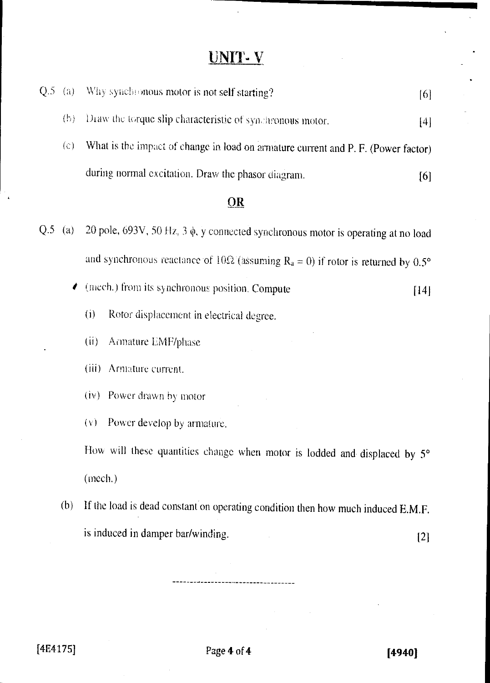# UNIT-V

| Q.5 | (a)                       | Why synchronous motor is not self starting?<br>[6]                                                 |  |
|-----|---------------------------|----------------------------------------------------------------------------------------------------|--|
|     | $\left(\mathbf{b}\right)$ | Draw the torque slip characteristic of synchronous motor.<br>$[4]$                                 |  |
|     | $\left( c\right)$         | What is the impact of change in load on armature current and P. F. (Power factor)                  |  |
|     |                           | during normal excitation. Draw the phasor diagram.<br>[6]                                          |  |
|     |                           | <u>OR</u>                                                                                          |  |
| Q.5 | $\left( a\right)$         | 20 pole, 693V, 50 Hz, 3 φ, y connected synchronous motor is operating at no load                   |  |
|     |                           | and synchronous reactance of $10\Omega$ (assuming R <sub>a</sub> = 0) if rotor is returned by 0.5° |  |
|     | ◢                         | (mech.) from its synchronous position. Compute<br>$[14]$                                           |  |
|     |                           | (i)<br>Rotor displacement in electrical degree.                                                    |  |
|     |                           | (ii)<br>Armature EMF/phase                                                                         |  |
|     |                           | (iii) Armature current.                                                                            |  |
|     |                           | (iv) Power drawn by motor                                                                          |  |
|     |                           | Power develop by armature.<br>(V)                                                                  |  |
|     |                           | How will these quantities change when motor is lodded and displaced by 5°                          |  |
|     |                           | (mech.)                                                                                            |  |
|     | (b)                       | If the load is dead constant on operating condition then how much induced E.M.F.                   |  |
|     |                           | is induced in damper bar/winding.<br>$[2]$                                                         |  |

 $[4E4175]$  Page 4 of 4 [4940]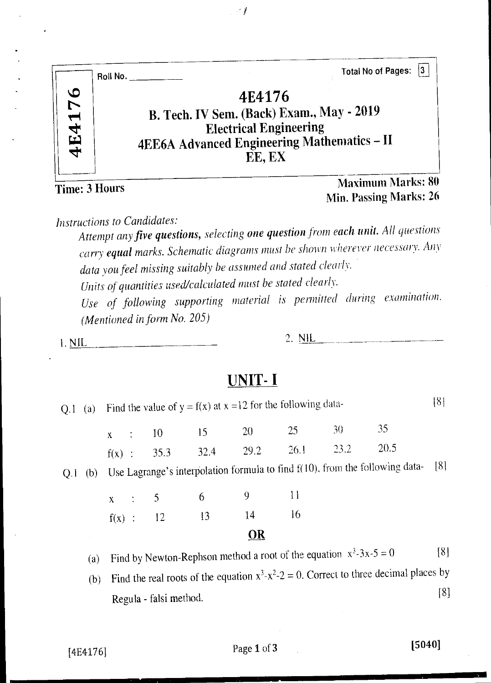|               | Roll No. | 13<br><b>Total No of Pages:</b>                                                                                                                      |
|---------------|----------|------------------------------------------------------------------------------------------------------------------------------------------------------|
| 4E4176        |          | 4E4176<br>B. Tech. IV Sem. (Back) Exam., May - 2019<br><b>Electrical Engineering</b><br><b>4EE6A Advanced Engineering Mathematics - II</b><br>EE, EX |
| Time: 3 Hours |          | <b>Maximum Marks: 80</b><br>$\mathbf{r}$ as $\mathbf{r}$ and $\mathbf{r}$ and $\mathbf{r}$ and $\mathbf{r}$                                          |

 $\rightarrow$   $\rightarrow$   $\rightarrow$ 

Min. Passing Marks: 26

*Instructions to Candidates:* 

*Attempt any five questions, selecting one question from each unit. All questions carry equal marks. Schematic diagrams must be shown wherever necessary. Any data you feel missing suitably be assumed and stated clearly, Units of quantities used/calculated must be stated clearly.* 

*Use of following supporting material is permitted during examination. (Mentioned in form No. 205)* 

*I.* NIL 2. NIL

# UNIT- I

|     | $Q.1$ (a) |                   |                        | Find the value of $y = f(x)$ at $x = 12$ for the following data- |           |              |                                                                   |                                                                                        | [8]               |
|-----|-----------|-------------------|------------------------|------------------------------------------------------------------|-----------|--------------|-------------------------------------------------------------------|----------------------------------------------------------------------------------------|-------------------|
|     |           | $X \qquad \vdots$ | 10                     | 15                                                               | 20        | 25           | 30                                                                | 35                                                                                     |                   |
|     |           | $f(x)$ :          | 35.3                   | 32.4                                                             | 29.2      | 26.1         | 23.2                                                              | 20.5                                                                                   |                   |
| Q.I | (b)       |                   |                        |                                                                  |           |              |                                                                   | Use Lagrange's interpolation formula to find f(10), from the following data-           | $\lceil 8 \rceil$ |
|     |           | $\mathbf{X}$      | 5                      | 6                                                                | 9         | $\mathbf{1}$ |                                                                   |                                                                                        |                   |
|     |           | $f(x)$ :          | 12                     | 13                                                               | 14        | 16           |                                                                   |                                                                                        |                   |
|     |           |                   |                        |                                                                  | <u>OR</u> |              |                                                                   |                                                                                        |                   |
|     | (a)       |                   |                        |                                                                  |           |              | Find by Newton-Rephson method a root of the equation $x^3-3x-5=0$ |                                                                                        | [8]               |
|     | (b)       |                   |                        |                                                                  |           |              |                                                                   | Find the real roots of the equation $x^3-x^2-2=0$ . Correct to three decimal places by |                   |
|     |           |                   | Regula - falsi method. |                                                                  |           |              |                                                                   |                                                                                        | [8]               |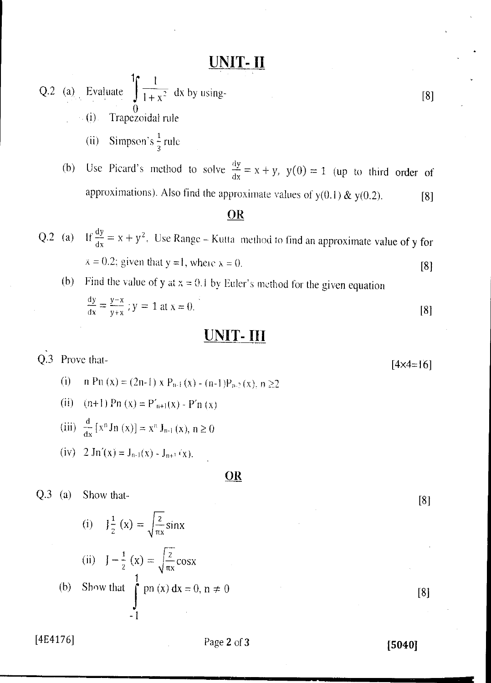# UNIT- H

- Q.2 ( 1/  $1 + x^2$ 1 Evaluate  $\int \frac{1}{1+x^2} dx$  by using-0 (i) Trapezoidal rule
	- (ii) Simpson's  $\frac{1}{3}$  rule
	- (b) Use Picard's method to solve  $\frac{dy}{dx} = x + y$ ,  $y(0) = 1$  (up to third order of approximations). Also find the approximate values of  $y(0.1) \& y(0.2)$ . [8]

#### OR

- Q.2 (a) If  $\frac{dy}{dx} = x + y^2$ , Use Range Kutta method to find an approximate value of y for  $x = 0.2$ ; given that  $y = 1$ , where  $x = 0$ .  $[8]$ 
	- (b) Find the value of y at  $x = 0.1$  by Euler's method for the given equation  $\frac{dy}{dx} = \frac{y-x}{y+x}$ ;  $y = 1$  at  $x = 0$ .  $[8]$

#### UNIT- III

Q.3 Prove that-  $[4 \times 4 = 16]$ 

- (i) n Pn (x) = (2n-1) x P<sub>n-1</sub> (x) (n-1)P<sub>n-2</sub> (x), n  $\geq$ 2
- $(n+1)$  Pn  $(x) = P'_{n+1}(x) P'_{n+1}(x)$  $(ii)$
- (iii)  $\frac{d}{dx} [x^n \text{Jn}(x)] = x^n \text{J}_{n-1}(x), n \ge 0$
- (iv)  $2 \text{Jn}'(x) = J_{n-1}(x) J_{n+1}(x)$ .

OR

 $Q.3$  (a) Show that- [8]

(i) 
$$
J_{\frac{1}{2}}^{1}(x) = \sqrt{\frac{2}{\pi x}} \sin x
$$
  
\n(ii)  $J - \frac{1}{2}(x) = \sqrt{\frac{2}{\pi x}} \cos x$   
\n(b) Show that  $\int_{-1}^{1} \text{pn}(x) dx = 0, n \neq 0$  [8]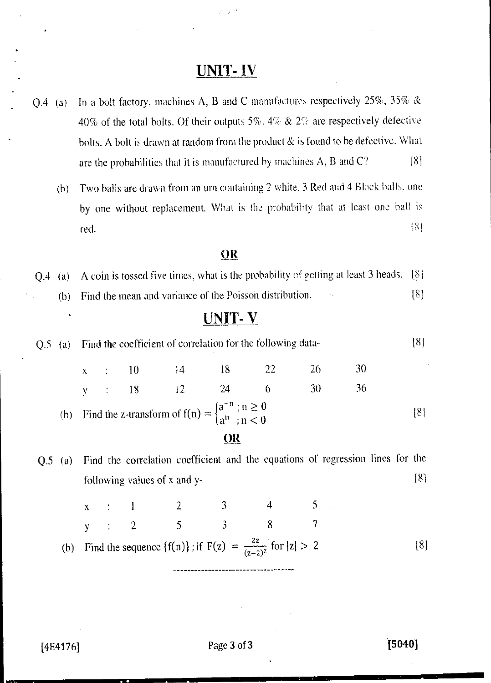# UNIT- IV

 $2.303$ 

- Q.4 (a) In a bolt factory, machines A, B and C manufactures respectively 25%, 35% & 40% of the total bolts. Of their outputs 5%, 4%  $\&$  2% are respectively defective bolts. A bolt is drawn at random from the product & is found to be defective. What are the probabilities that it is manufactured by machines A, B and  $C$ ?  $[8]$ 
	- (b) Two balls are drawn from an urn containing 2. white, 3 Red and 4 Black balls, one by one without replacement. What is the probability that at least one ball is Figure the probabilities that it is manufactured by machines A, B and C? [8]<br>
	Two balls are drawn from an urn containing 2 white, 3 Red and 4 Black balls, one<br>
	by one without replacement. What is the probability that at l

#### $OR$

Q.4 (a) A coin is tossed five times, what is the probability of getting at least 3 heads. 181 (b) Find the mean and variance of the Poisson distribution. [8]

## UNIT- V

| Q.5 | $\left( a\right)$            |   |  |  |                       | Find the coefficient of correlation for the following data-                                 |      |                                    |                                                                                | [8] |
|-----|------------------------------|---|--|--|-----------------------|---------------------------------------------------------------------------------------------|------|------------------------------------|--------------------------------------------------------------------------------|-----|
|     |                              | X |  |  | $\therefore$ 10 14 18 |                                                                                             | - 22 | 26                                 | 30                                                                             |     |
|     |                              |   |  |  |                       | $y = 18$ 12 24                                                                              | 6    | 30                                 | 36                                                                             |     |
|     |                              |   |  |  |                       | (b) Find the z-transform of $f(n) = \begin{cases} a^{-n} \\ n \\ n \end{cases}$ ; $n \ge 0$ |      |                                    |                                                                                | [8] |
|     |                              |   |  |  |                       | OR                                                                                          |      |                                    |                                                                                |     |
| Q.5 | (a)                          |   |  |  |                       |                                                                                             |      |                                    | Find the correlation coefficient and the equations of regression lines for the |     |
|     | following values of x and y- |   |  |  |                       |                                                                                             | [8]  |                                    |                                                                                |     |
|     |                              |   |  |  |                       |                                                                                             |      | $x$ : 1 2 3 4 5<br>$y$ : 2 5 3 8 7 |                                                                                |     |
|     |                              |   |  |  |                       |                                                                                             |      |                                    |                                                                                |     |
|     | (b)                          |   |  |  |                       | Find the sequence $\{f(n)\}\;$ ; if $F(z) = \frac{2z}{(z-2)^2}$ for $ z  > 2$               |      |                                    |                                                                                | [8] |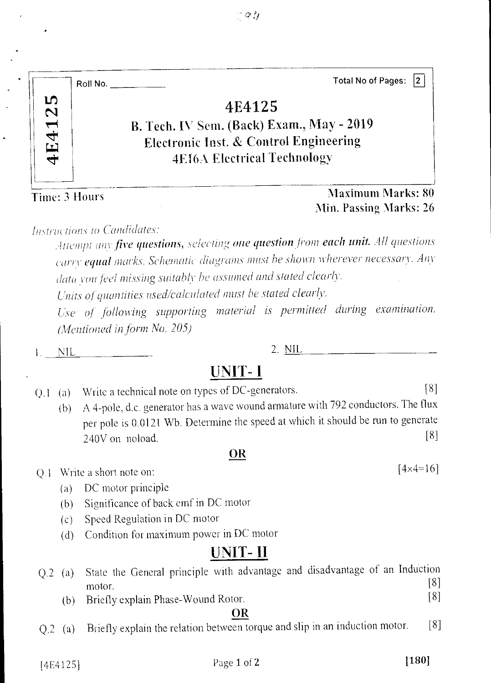| 4E4125         |                          | 4E4125<br>B. Tech. IV Sem. (Back) Exam., May - 2019<br>Electronic Inst. & Control Engineering<br><b>4E16A Electrical Technology</b>                                                                                                                                                                                                                                                                                                    |            |
|----------------|--------------------------|----------------------------------------------------------------------------------------------------------------------------------------------------------------------------------------------------------------------------------------------------------------------------------------------------------------------------------------------------------------------------------------------------------------------------------------|------------|
|                |                          | <b>Maximum Marks: 80</b><br>Time: 3 Hours<br>Min. Passing Marks: 26                                                                                                                                                                                                                                                                                                                                                                    |            |
|                |                          | Instructions to Candidates:<br>Attempt any five questions, selecting one question from each unit. All questions<br>carry equal marks. Schematic diagrams must be shown wherever necessary. Any<br>data you feel missing suitably be assumed and stated clearly.<br>Units of quantities used/calculated must be stated clearly.<br>Use of following supporting material is permitted during examination.<br>(Mentioned in form No. 205) |            |
|                | NIL.                     | 2. NIL                                                                                                                                                                                                                                                                                                                                                                                                                                 |            |
|                |                          | UNIT- I                                                                                                                                                                                                                                                                                                                                                                                                                                |            |
| Q <sub>1</sub> | (a)<br>(b)               | Write a technical note on types of DC-generators.<br>A 4-pole, d.c. generator has a wave wound armature with 792 conductors. The flux<br>per pole is 0.0121 Wb. Determine the speed at which it should be run to generate<br>240V on noload.                                                                                                                                                                                           | [8]<br>[8] |
|                |                          | OR                                                                                                                                                                                                                                                                                                                                                                                                                                     |            |
| Q <sub>1</sub> | (a)<br>(b)<br>(c)<br>(d) | $[4 \times 4 = 16]$<br>Write a short note on:<br>DC motor principle<br>Significance of back emf in DC motor<br>Speed Regulation in DC motor<br>Condition for maximum power in DC motor<br>UNIT- II                                                                                                                                                                                                                                     |            |
|                |                          | State the General principle with advantage and disadvantage of an Induction                                                                                                                                                                                                                                                                                                                                                            |            |
| Q.2            | $\left( a\right)$<br>(b) | motor.<br>Briefly explain Phase-Wound Rotor.                                                                                                                                                                                                                                                                                                                                                                                           | [8]<br>[8] |
| Q.2            | (a)                      | OR<br>Briefly explain the relation between torque and slip in an induction motor.                                                                                                                                                                                                                                                                                                                                                      | [8]        |

 $[4E4125]$  Page 1 of 2 [180]

 $\ddot{\phantom{0}}$ 

**Roll No. Total No of Pages:**  2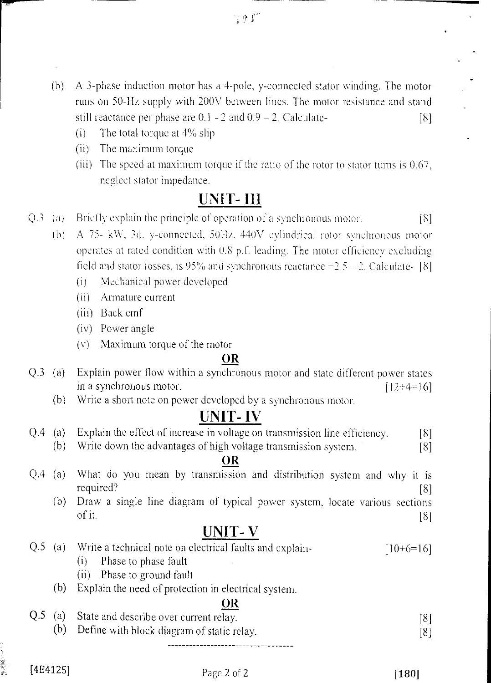- (b) A 3-phase induction motor has a 4-pole, y-connected stator winding. The motor runs on 50-Hz supply with 200V between lines. The motor resistance and stand still reactance per phase are  $0.1 - 2$  and  $0.9 - 2$ . Calculate- [8]
	- (i) The total torque at  $4\%$  slip
	- (ii) The maximum torque
	- (iii) The speed at maximum torque if the ratio of the rotor to stator turns is  $0.67$ , neglect stator impedance.

## UNIT- III

- Q.3 (a) Briefly explain the principle of operation of a synchronous motor. [8]
	- (b) A 75- kW,  $3\phi$ , y-connected,  $50Hz$ ,  $440V$  cylindrical rotor synchronous motor operates at rated condition with 0.8 p.f. leading. The motor efficiency excluding field and stator losses, is 95% and synchronous reactance  $=2.5 - 2$ . Calculate- [8]
		- (i) Mechanical power developed
		- (ii) Armature current
		- (iii) Back emf
		- (iv) Power angle
		- (v) Maximum torque of the motor

#### OR

- Q.3 (a) Explain power flow within a synchronous motor and state different power states in a synchronous motor.  $[12+4=16]$ 
	- (b) Write a short note on power developed by a synchronous motor.

## UNIT- IV

- Q.4 (a) Explain the effect of increase in voltage on transmission line efficiency. [8]
	- (b) Write down the advantages of high voltage transmission system. [8]

#### OR

- Q.4 (a) What do you mean by transmission and distribution system and why it is required? [8]
	- (b) Draw a single line diagram of typical power system, locate various sections of it.  $[8]$

## UNIT- V

| $0.5$ (a) |     | Write a technical note on electrical faults and explain- | $[10+6=16]$ |
|-----------|-----|----------------------------------------------------------|-------------|
|           |     | Phase to phase fault                                     |             |
|           |     | (ii) Phase to ground fault                               |             |
|           | D): | Explain the need of protection in electrical system.     |             |
|           |     | OR                                                       |             |
|           |     | $(15)(a)$ State and describe over current relay          |             |

(a) State and describe over current relay.<br>
(b) Define with block diagram of static relay. [8] Define with block diagram of static relay. [8]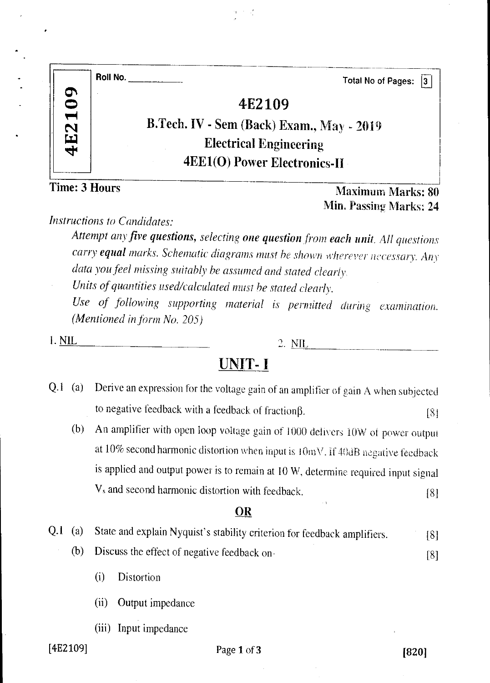|                   | Roll No.<br><b>Total No of Pages:</b>     |
|-------------------|-------------------------------------------|
| Φ<br>$\mathbf{0}$ | 4E2109                                    |
|                   | B.Tech. IV - Sem (Back) Exam., May - 2019 |
| 4E2               | <b>Electrical Engineering</b>             |
|                   | <b>4EE1(O) Power Electronics-II</b>       |

Time: 3 Hours Maximum Marks: 80 Min. Passing Marks: 24

*Instructions to Candidates:* 

*Attempt any five questions, selecting one question from each unit.* All *questions carry equal marks. Schematic diagrams must be shown wherever necessary. Any data you feel missing suitably be assumed and stated clearly.* 

*Units of quantities used/calculated must be stated clearly. Use of following supporting material is permitted during examination. (Mentioned in form No. 205)* 

**1.** <u>NIL</u> 2. <u>NIL</u> 2. <u>NIL</u>

# UNIT- I

- Q.1 (a) Derive an expression for the voltage gain of an amplifier of gain A when subjected to negative feedback with a feedback of fraction $\beta$ . [8]
	- (b) An amplifier with open loop voltage gain of 1000 delivers IOW of power output at  $10\%$  second harmonic distortion when input is  $10mV$ . If  $40dB$  negative feedback is applied and output power is to remain at 10 W, determine required input signal V<sub>s</sub> and second harmonic distortion with feedback. [8]

#### OR

- $Q.1$  (a) State and explain Nyquist's stability criterion for feedback amplifiers. [8] (b) Discuss the effect of negative feedback on- [8]
	- (i) Distortion
	- (ii) Output impedance
	- (iii) Input impedance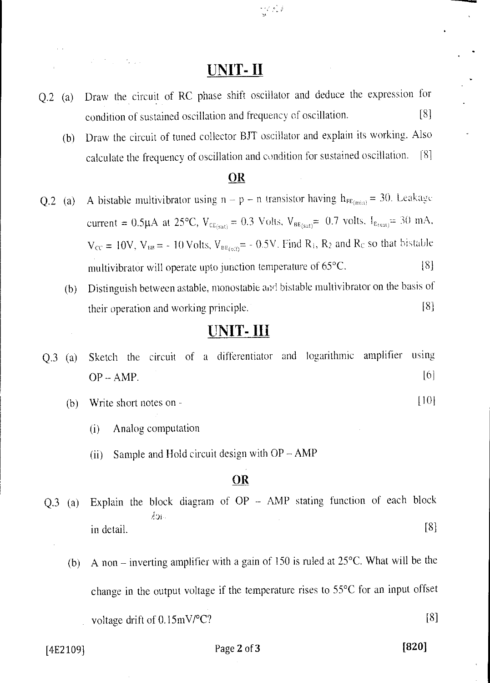## UNIT- II

 $\sum_{i=1}^{n} \sum_{j=1}^{n} \sum_{j=1}^{n} \hat{y}_j^2$ 

- Q.2 (a) Draw the circuit of RC phase shift oscillator and deduce the expression for condition of sustained oscillation and frequency of oscillation. [8]
	- (b) Draw the circuit of tuned collector BIT oscillator and explain its working. Also calculate the frequency of oscillation and condition for sustained oscillation. [8]

#### OR

- Q.2 (a) A bistable multivibrator using  $n p n$  transistor having  $h_{r E(m) n} = 30$ . Leakage current = 0.5 $\mu$ A at 25°C, V<sub>CE(sat)</sub> = 0.3 Volts, V<sub>BE(sat)</sub> = 0.7 volts, I<sub>E(sat)</sub> = 30 mA,  $V_{\text{CC}} = 10V$ ,  $V_{\text{BB}} = -10$  Volts,  $V_{\text{BE (off)}} = -0.5V$ . Find R<sub>1</sub>, R<sub>2</sub> and R<sub>c</sub> so that bistable multivibrator will operate upto junction temperature of 65°C. [8]
	- (b) Distinguish between astable, monostabie and bistable multivibrator on the basis of their operation and working principle. 1 8]

#### UNIT- III

- Q.3 (a) Sketch the circuit of a differentiator and logarithmic amplifier using  $OP - AMP.$  [6]
	- (b) Write short notes on [10]
		- (i) Analog computation

 $\Delta \sim 10^{11}$  km s  $^{-1}$ 

(ii) Sample and Hold circuit design with OP — AMP

#### OR

- Q.3 (a) Explain the block diagram of  $OP AMP$  stating function of each block ick in detail.  $[8]$ 
	- (b) A non inverting amplifier with a gain of 150 is ruled at 25°C. What will be the change in the output voltage if the temperature rises to 55°C for an input offset voltage drift of 0.15mV/°C? [8]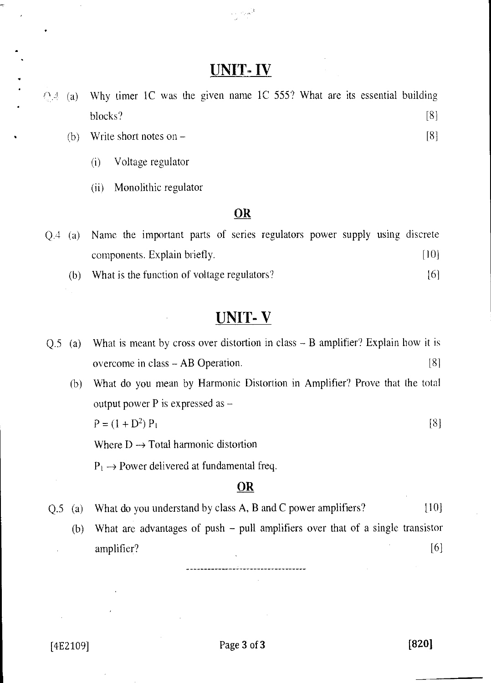# UNIT-IV

 $\label{eq:2.1} \begin{array}{ll} \mathcal{L}_{\mathcal{A}} & \mathcal{L}_{\mathcal{A}}(\mathbf{x})\\ \mathcal{L}_{\mathcal{A}} & \mathcal{L}_{\mathcal{A}} \end{array}$ 

- (a) Why timer 1C was the given name 1C 555? What are its essential building blocks?  $[8]$ 
	- (b) Write short notes on [8]
		- (i) Voltage regulator
		- (ii) Monolithic regulator

#### OR

Q.4 (a) Name the important parts of series regulators power supply using discrete components. Explain briefly. [10]

(b) What is the function of voltage regulators? [6]

## UNIT-V

Q.5 (a) What is meant by cross over distortion in class — B amplifier? Explain how it is overcome in class — AB Operation. [8]

(b) What do you mean by Harmonic Distortion in Amplifier? Prove that the total output power P is expressed as  $-$ 

 $P = (1 + D^2) P_1$  [8]

Where  $D \rightarrow$  Total harmonic distortion

 $P_1 \rightarrow Power$  delivered at fundamental freq.

#### OR

Q.5 (a) What do you understand by class A, B and C power amplifiers? [10]

(b) What are advantages of push — pull amplifiers over that of a single transistor amplifier? [6]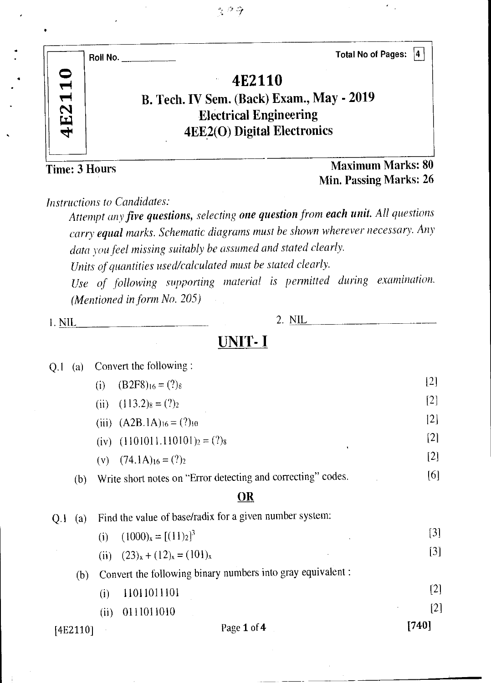|            | Roll No. | <b>Total No of Pages:</b><br>$ 4\rangle$                                                                              |
|------------|----------|-----------------------------------------------------------------------------------------------------------------------|
| 0<br>4E211 |          | 4E2110<br>B. Tech. IV Sem. (Back) Exam., May - 2019<br><b>Electrical Engineering</b><br>$4EE2(O)$ Digital Electronics |

#### Time: 3 Hours Maximum Marks: 80 Min. Passing Marks: 26

*Instructions to Candidates:* 

*Attempt any five questions, selecting one question from each unit. All questions carry equal marks. Schematic diagrams must be shown wherever necessary. Any data you feel missing suitably be assumed and stated clearly.* 

*Units of quantities used/calculated must be stated clearly.* 

*Use of following supporting material is permitted during examination. (Mentioned in form No. 205)* 

| 1. NIL<br>.<br>____<br>________<br>------- | ~<br>. ت | - NIJ<br>--- |  |
|--------------------------------------------|----------|--------------|--|
|--------------------------------------------|----------|--------------|--|

UNIT- I

| Q.I | (a)      | Convert the following:                                       |       |
|-----|----------|--------------------------------------------------------------|-------|
|     |          | $(B2F8)_{16} = (?)_8$<br>(i)                                 | $[2]$ |
|     |          | (ii) $(113.2)_8 = (?)_2$                                     | [2]   |
|     |          | (iii) $(A2B.1A)16 = (?)10$                                   | [2]   |
|     |          | (iv) $(1101011.110101)_2 = (?)_8$                            | [2]   |
|     |          | $(74.1A)16 = (?)2$<br>(V)                                    | $[2]$ |
|     | (b)      | Write short notes on "Error detecting and correcting" codes. | [6]   |
|     |          | $\overline{\text{OR}}$                                       |       |
| Q.1 | (a)      | Find the value of base/radix for a given number system:      |       |
|     |          | $(1000)_x = [(11)_2]^3$<br>(i)                               | $[3]$ |
|     |          | $(23)_x + (12)_x = (101)_x$<br>(ii)                          | $[3]$ |
|     | (b)      | Convert the following binary numbers into gray equivalent :  |       |
|     |          | 11011011101<br>$\left( 1\right)$                             | [2]   |
|     |          | 0111011010<br>(ii)                                           | [2]   |
|     | [4E2110] | Page 1 of 4                                                  | [740] |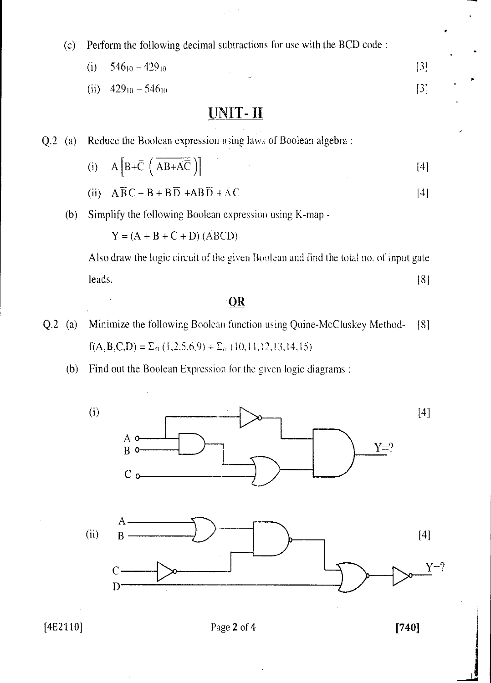(c) Perform the following decimal subtractions for use with the BCD code :

- (i)  $546_{10} 429_{10}$  [3]
- (ii)  $429_{10} 546_{10}$  [3]

# UNIT-II

Q.2 (a) Reduce the Boolean expression using laws of Boolean algebra :

(i) 
$$
A\left[B+\overline{C}\left(\overline{AB+A\overline{C}}\right)\right]
$$
 [4]

(ii) 
$$
A\overline{B}C + B + B\overline{D} + AB\overline{D} + AC
$$
 [4]

(b) Simplify the following Boolean expression using K-map -

$$
Y = (A + B + C + D) (ABCD)
$$

Also draw the logic circuit of the given Boolean and find the total no. of input gate leads.  $[8]$ 

OR

- Q.2 (a) Minimize the following Boolean function using Quine-McCluskey Method $f(A,B,C,D) = \sum_{m} (1,2,5,6,9) + \sum_{m} (10,11,12,13,14,15)$ 181
	- (b) Find out the Boolean Expression for the given logic diagrams :



[4E2110] Page 2 of 4 [740]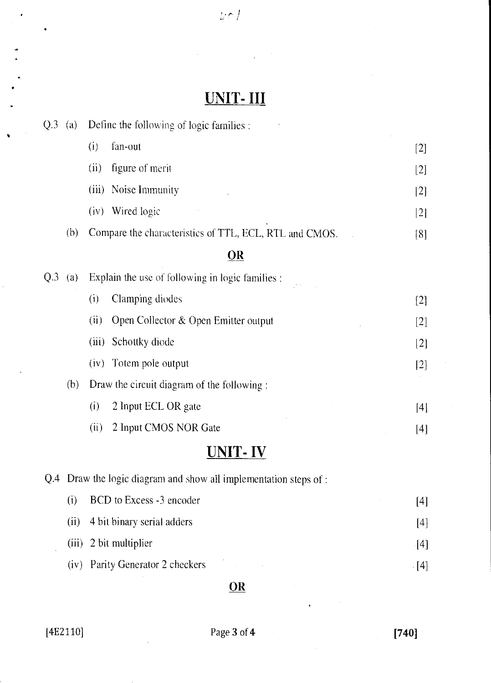$\psi \!\in\! I$ 

# UNIT- III

| $Q.3$ (a) |      | Define the following of logic families : |                                                                   |       |  |  |  |  |
|-----------|------|------------------------------------------|-------------------------------------------------------------------|-------|--|--|--|--|
|           |      | (i)                                      | fan-out                                                           | $[2]$ |  |  |  |  |
|           |      | (ii)                                     | figure of merit                                                   | $[2]$ |  |  |  |  |
|           |      |                                          | (iii) Noise Immunity                                              | [2]   |  |  |  |  |
|           |      |                                          | (iv) Wired logic                                                  | [2]   |  |  |  |  |
|           | (b)  |                                          | Compare the characteristics of TTL, ECL, RTL and CMOS.            | [8]   |  |  |  |  |
|           |      |                                          | $\overline{\text{OR}}$                                            |       |  |  |  |  |
| Q.3       | (a)  |                                          | Explain the use of following in logic families :                  |       |  |  |  |  |
|           |      | $\mathbf{I}$                             | Clamping diodes                                                   | $[2]$ |  |  |  |  |
|           |      | (ii)                                     | Open Collector & Open Emitter output                              | [2]   |  |  |  |  |
|           |      | (iii)                                    | Schottky diode                                                    | [2]   |  |  |  |  |
|           |      |                                          | (iv) Totem pole output                                            | $[2]$ |  |  |  |  |
|           | (b)  |                                          | Draw the circuit diagram of the following :                       |       |  |  |  |  |
|           |      | (i)                                      | 2 Input ECL OR gate                                               | [4]   |  |  |  |  |
|           |      | (ii)                                     | 2 Input CMOS NOR Gate                                             | $[4]$ |  |  |  |  |
|           |      |                                          | UNIT-IV                                                           |       |  |  |  |  |
|           |      |                                          | Q.4 Draw the logic diagram and show all implementation steps of : |       |  |  |  |  |
|           | (i)  |                                          | BCD to Excess -3 encoder                                          | $[4]$ |  |  |  |  |
|           | (ii) |                                          | 4 bit binary serial adders                                        | $[4]$ |  |  |  |  |
|           |      |                                          | (iii) 2 bit multiplier                                            | [4]   |  |  |  |  |

(iv) Parity Generator 2 checkers [4]

OR

 $\ddot{\phantom{1}}$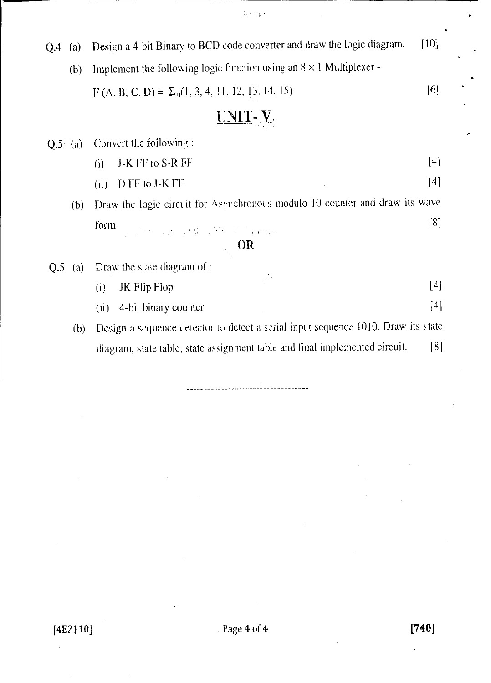| (a)<br>Q.4 | [10]<br>Design a 4-bit Binary to BCD code converter and draw the logic diagram.    |       |  |  |  |  |
|------------|------------------------------------------------------------------------------------|-------|--|--|--|--|
| (b)        | Implement the following logic function using an $8 \times 1$ Multiplexer -         |       |  |  |  |  |
|            | $F(A, B, C, D) = \sum_{m}$ (1, 3, 4, 11, 12, 13, 14, 15)                           | [6]   |  |  |  |  |
|            | $NII-V$                                                                            |       |  |  |  |  |
| Q.5(a)     | Convert the following:                                                             |       |  |  |  |  |
|            | J-K FF to S-R FF<br>(i)                                                            | [4]   |  |  |  |  |
|            | D FF to J-K FF<br>(ii)                                                             | $[4]$ |  |  |  |  |
|            | Draw the logic circuit for Asynchronous modulo-10 counter and draw its wave<br>(b) |       |  |  |  |  |
|            | form.<br>The Society of California and                                             | [8]   |  |  |  |  |
|            | $\frac{OR}{P}$                                                                     |       |  |  |  |  |
| Q.5<br>(a) | Draw the state diagram of :<br>$\sim$ $\sim$                                       |       |  |  |  |  |
|            | <b>JK</b> Flip Flop<br>(i)                                                         | $[4]$ |  |  |  |  |
|            | 4-bit binary counter<br>(ii)                                                       | $[4]$ |  |  |  |  |
| (b)        | Design a sequence detector to detect a serial input sequence 1010. Draw its state  |       |  |  |  |  |
|            | diagram, state table, state assignment table and final implemented circuit.        | [8]   |  |  |  |  |

 $\frac{1}{2} \left( \frac{1}{2} \right)^{\frac{1}{2}} \frac{1}{2} \left( \frac{1}{2} \right)^{\frac{1}{2}}$ 

 $\ddot{\phantom{1}}$ 

 $\ddot{\phantom{0}}$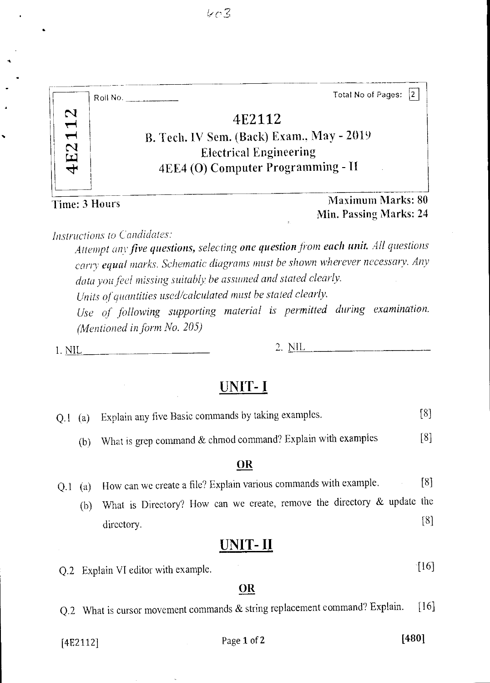|               | Roll No. | Total No of Pages:                                                                                                         |
|---------------|----------|----------------------------------------------------------------------------------------------------------------------------|
| 112<br>4E2    |          | 4E2112<br>B. Tech. IV Sem. (Back) Exam., May - 2019<br><b>Electrical Engineering</b><br>4EE4 (O) Computer Programming - II |
| Time: 3 Hours |          | <b>Maximum Marks: 80</b>                                                                                                   |

Min. Passing Marks: 24

*Instructions to Candidates:* 

*Attempt any five questions, selecting one question from each unit. All questions carry equal marks. Schematic diagrams must be shown wherever necessary. Any data you feel missing suitably be assumed and stated clearly. Units of quantities used/calculated must be stated clearly. Use of following supporting material is permitted during examination.* 

*(Mentioned in form No. 205)* 

1. NIL 2. NIL

# UNIT- I

| $Q.1$ (a)      |                   | Explain any five Basic commands by taking examples.                         | [8]  |
|----------------|-------------------|-----------------------------------------------------------------------------|------|
|                | (b)               | What is grep command & chmod command? Explain with examples                 | [8]  |
|                |                   | <b>OR</b>                                                                   |      |
| Q <sub>1</sub> | $\left( a\right)$ | How can we create a file? Explain various commands with example.            | [8]  |
|                | (b)               | What is Directory? How can we ereate, remove the directory $\&$ update the  |      |
|                |                   | directory.                                                                  | [8]  |
|                |                   | UNIT-II                                                                     |      |
|                |                   | Q.2 Explain VI editor with example.                                         | [16] |
|                |                   | $\overline{\mathbf{OR}}$                                                    |      |
|                |                   | Q.2 What is cursor movement commands & string replacement command? Explain. | [16] |

 $[4E2112]$  Page 1 of 2 [480]